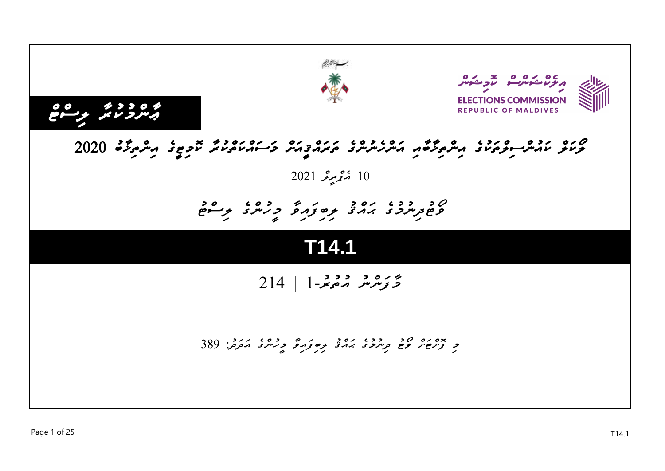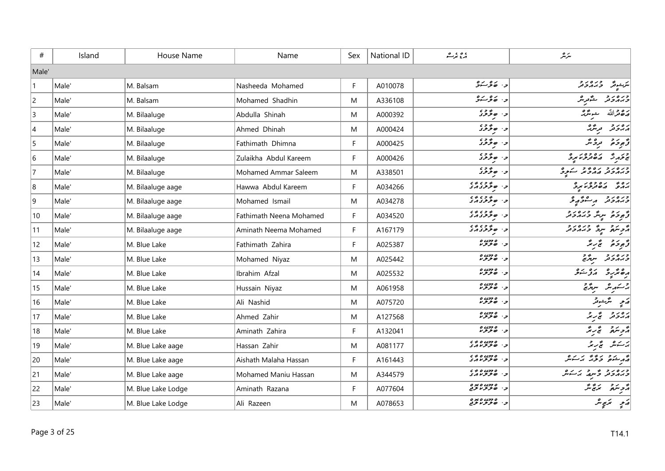| #               | Island | House Name         | Name                    | Sex | National ID | ړه پر ه                                                                                                                                                                                                                                                                                                                         | ىئرىتر                                              |
|-----------------|--------|--------------------|-------------------------|-----|-------------|---------------------------------------------------------------------------------------------------------------------------------------------------------------------------------------------------------------------------------------------------------------------------------------------------------------------------------|-----------------------------------------------------|
| Male'           |        |                    |                         |     |             |                                                                                                                                                                                                                                                                                                                                 |                                                     |
|                 | Male'  | M. Balsam          | Nasheeda Mohamed        | F   | A010078     | د . ځو کرو                                                                                                                                                                                                                                                                                                                      | و ره ر و<br>تر پر تر تر<br>  سَرَڪونَدُ<br> -       |
| $\overline{2}$  | Male'  | M. Balsam          | Mohamed Shadhin         | M   | A336108     | د . گۇسۇچ                                                                                                                                                                                                                                                                                                                       | و ر ه ر و<br>  و بر پر <del>و</del> تر<br>ے گھورمگر |
| $\vert$ 3       | Male'  | M. Bilaaluge       | Abdulla Shinah          | M   | A000392     | د . ھۇفرى                                                                                                                                                                                                                                                                                                                       | شەمگرىر<br><mark>صر ھ</mark> ورالله                 |
| $\vert 4$       | Male'  | M. Bilaaluge       | Ahmed Dhinah            | M   | A000424     | و ۱ گاوی<br>و ۱ گاگوی                                                                                                                                                                                                                                                                                                           | برەر تەرشى                                          |
| $\overline{5}$  | Male'  | M. Bilaaluge       | Fathimath Dhimna        | F   | A000425     | د . ھوگرى<br>د . ھوگرى                                                                                                                                                                                                                                                                                                          | قەم قىرىمىگە                                        |
| $6\overline{6}$ | Male'  | M. Bilaaluge       | Zulaikha Abdul Kareem   | F   | A000426     | و . ھۇن <i>و</i> ئ                                                                                                                                                                                                                                                                                                              | ر ٥ ۶ وه ر مره<br>د ځه ترڅرنه نېږد<br> ج ځه رنگ     |
| $\vert$ 7       | Male'  | M. Bilaaluge       | Mohamed Ammar Saleem    | M   | A338501     | و . ھوگرى<br>و . ھوگرى                                                                                                                                                                                                                                                                                                          | ورەر د رەپ د رو                                     |
| 8               | Male'  | M. Bilaaluge aage  | Hawwa Abdul Kareem      | F   | A034266     | $\begin{array}{cc} 1 & 1 & 1 & 1 \\ 1 & 1 & 1 & 1 \\ 1 & 1 & 1 & 1 \\ 1 & 1 & 1 & 1 \\ 1 & 1 & 1 & 1 \\ 1 & 1 & 1 & 1 \\ 1 & 1 & 1 & 1 \\ 1 & 1 & 1 & 1 \\ 1 & 1 & 1 & 1 \\ 1 & 1 & 1 & 1 \\ 1 & 1 & 1 & 1 \\ 1 & 1 & 1 & 1 \\ 1 & 1 & 1 & 1 \\ 1 & 1 & 1 & 1 & 1 \\ 1 & 1 & 1 & 1 & 1 \\ 1 & 1 & 1 & 1 & 1 \\ 1 & 1 & 1 & 1 &$ | رە دەدەر ە                                          |
| 9               | Male'  | M. Bilaaluge aage  | Mohamed Ismail          | M   | A034278     | $\begin{array}{cc} 0.4 & 0.2 & 0.2 \\ 0.4 & 0.2 & 0.2 \\ 0.4 & 0.2 & 0.2 \\ 0.4 & 0.4 & 0.2 \\ 0.5 & 0.4 & 0.2 \\ 0.5 & 0.4 & 0.2 \\ 0.5 & 0.4 & 0.2 \\ 0.5 & 0.4 & 0.2 \\ 0.5 & 0.4 & 0.2 \\ 0.5 & 0.4 & 0.2 \\ 0.5 & 0.4 & 0.2 \\ 0.5 & 0.4 & 0.2 \\ 0.5 & 0.4 & 0.2 \\ 0.5 & 0.4 & 0.2 \\ 0.$                                | درەرد بەسىۋېرو                                      |
| $ 10\rangle$    | Male'  | M. Bilaaluge aage  | Fathimath Neena Mohamed | F   | A034520     | د . ه څون دی<br>د . ه څون د د                                                                                                                                                                                                                                                                                                   | توجد و سرینگ وبرورد                                 |
| 11              | Male'  | M. Bilaaluge aage  | Aminath Neema Mohamed   | F   | A167179     | و و و ی و ی<br>و ۰ ه <del>و و</del> و بر و                                                                                                                                                                                                                                                                                      | ולקייטה ייעל כמחכת                                  |
| 12              | Male'  | M. Blue Lake       | Fathimath Zahira        | F   | A025387     | ه دون ه<br>د ۱ گامونو                                                                                                                                                                                                                                                                                                           | تزجوخر تم يتمر                                      |
| 13              | Male'  | M. Blue Lake       | Mohamed Niyaz           | M   | A025442     | ه دود پره<br>و ۰ کلومونو                                                                                                                                                                                                                                                                                                        | כנסגב ייתר                                          |
| 14              | Male'  | M. Blue Lake       | Ibrahim Afzal           | M   | A025532     | ه دودن<br>و ۰ م <i>حرف ۱</i>                                                                                                                                                                                                                                                                                                    | <br>  رەئىر ئەر<br>ىرۇشك                            |
| 15              | Male'  | M. Blue Lake       | Hussain Niyaz           | M   | A061958     | ە دەپرە<br><del>د</del> · ھى <del>زى</del> رىم                                                                                                                                                                                                                                                                                  | 2 سەر شەرى <i>گە</i><br>مەسىر                       |
| 16              | Male'  | M. Blue Lake       | Ali Nashid              | M   | A075720     | ە دەپرە<br><del>د</del> · ھى <del>زى</del> رىم                                                                                                                                                                                                                                                                                  | أركمني المتركب وكر                                  |
| 17              | Male'  | M. Blue Lake       | Ahmed Zahir             | M   | A127568     | ه دود پره<br>و ۰ کلومونو                                                                                                                                                                                                                                                                                                        | رەر ئەرج                                            |
| 18              | Male'  | M. Blue Lake       | Aminath Zahira          | F.  | A132041     | ه دوده، ه<br>د ۱ گلومون                                                                                                                                                                                                                                                                                                         | أزمر سنتعرض التجار بتر                              |
| 19              | Male'  | M. Blue Lake aage  | Hassan Zahir            | M   | A081177     | ه دوه ده و د و<br>د ۱ <b>۰ کالو</b> کو                                                                                                                                                                                                                                                                                          | ير سەندە ئىچ بەير                                   |
| 20              | Male'  | M. Blue Lake aage  | Aishath Malaha Hassan   | F.  | A161443     | ه دوه ده و د و<br>د ۱ <b>۰ کالو</b> کو                                                                                                                                                                                                                                                                                          | ەر ئىسىم ئۇنى ئاسەش                                 |
| 21              | Male'  | M. Blue Lake aage  | Mohamed Maniu Hassan    | M   | A344579     | 590,0000                                                                                                                                                                                                                                                                                                                        | ورەرو ۋىر ئەسكىر                                    |
| 22              | Male'  | M. Blue Lake Lodge | Aminath Razana          | F   | A077604     | 0 x 0 cc33 0<br>5 · 6 cc4 cc 5                                                                                                                                                                                                                                                                                                  | أأرمز المتوسية المتناسر                             |
| 23              | Male'  | M. Blue Lake Lodge | Ali Razeen              | M   | A078653     | 0 x 0 cc33 0<br>5 · 6 cc4 cc                                                                                                                                                                                                                                                                                                    | مَ مِ سَيَ مَّد                                     |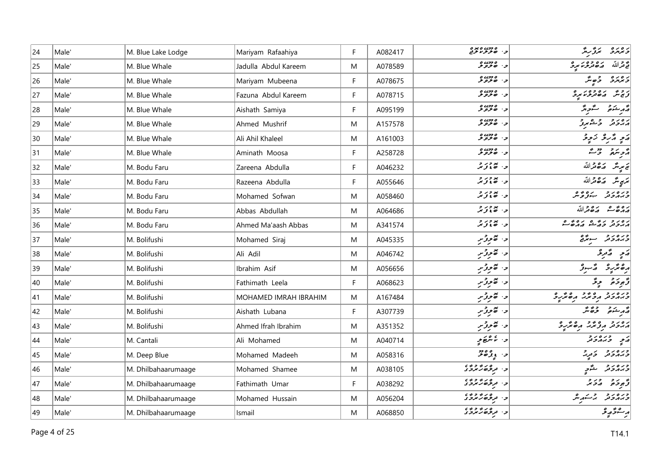| 24 | Male' | M. Blue Lake Lodge  | Mariyam Rafaahiya     | F           | A082417 | ه ۵ پوه ۵ پوه<br>و ۰ ه <del>و و</del> <i>۷ و</i> قع            | أوسره برورش                          |
|----|-------|---------------------|-----------------------|-------------|---------|----------------------------------------------------------------|--------------------------------------|
| 25 | Male' | M. Blue Whale       | Jadulla Abdul Kareem  | M           | A078589 | ه دوه ده ه<br>د ۰ مونونو                                       | قح قرالله برە دەر برو                |
| 26 | Male' | M. Blue Whale       | Mariyam Mubeena       | F           | A078675 | ه دوه ده ه<br>د ۰ م <i>ونو</i> نو                              | د ٥ ده د ه ش                         |
| 27 | Male' | M. Blue Whale       | Fazuna Abdul Kareem   | F           | A078715 | ه دوه ده ه<br>د ۱ گلوگو محر                                    | د د په ده ده دره و                   |
| 28 | Male' | M. Blue Whale       | Aishath Samiya        | F           | A095199 | ه دوه ده ه<br>د ۱ گلوگو محر                                    | وكرمشكم فستحرش                       |
| 29 | Male' | M. Blue Whale       | Ahmed Mushrif         | M           | A157578 | ه دوه به ه<br><del>و</del> ۰ م <i>ونو</i> نو                   | رەرد دېمبر                           |
| 30 | Male' | M. Blue Whale       | Ali Ahil Khaleel      | M           | A161003 | ه دون ه<br>د ۰ مونونو                                          | ړې د پرو زېږو                        |
| 31 | Male' | M. Blue Whale       | Aminath Moosa         | F           | A258728 | ه دون ه<br>د ۰ مونونو                                          | أزوينهم وحث                          |
| 32 | Male' | M. Bodu Faru        | Zareena Abdulla       | F           | A046232 | پر پر در<br>و۰ ځونو تن                                         | تح سريتشر   تمك <sup>8</sup> قدالله  |
| 33 | Male' | M. Bodu Faru        | Razeena Abdulla       | F           | A055646 | پر پر در<br>و۰ ځانو تر                                         | تترىپ <sub>و</sub> ىتتى تەھقىراللە   |
| 34 | Male' | M. Bodu Faru        | Mohamed Sofwan        | M           | A058460 | پر پر در<br>و۰ ځونو تن                                         | ورەرد رەپەە<br><i>دىد</i> ردىر سۆۋىر |
| 35 | Male' | M. Bodu Faru        | Abbas Abdullah        | M           | A064686 | پر پر در<br>و۰ ځانو تر                                         | محدة صدق متحددالله                   |
| 36 | Male' | M. Bodu Faru        | Ahmed Ma'aash Abbas   | M           | A341574 | پر پر در<br>و۰ ځانونو                                          | رەرد روپە رەۋر                       |
| 37 | Male' | M. Bolifushi        | Mohamed Siraj         | M           | A045335 | د به محوومبر<br>م                                              | ورەرو سورتى                          |
| 38 | Male' | M. Bolifushi        | Ali Adil              | M           | A046742 | د به محوومبر<br>م                                              | ړنې پر ترو                           |
| 39 | Male' | M. Bolifushi        | Ibrahim Asif          | M           | A056656 | د به محوفر مر<br>م                                             | دە ئېرىۋ<br>ە ئەسبور                 |
| 40 | Male' | M. Bolifushi        | Fathimath Leela       | $\mathsf F$ | A068623 | ح• گھ موتو مر<br>م                                             | وتجودة وقر                           |
| 41 | Male' | M. Bolifushi        | MOHAMED IMRAH IBRAHIM | M           | A167484 | <mark>و، ھور</mark> مر                                         | כגובני וכמב הסתיכ                    |
| 42 | Male' | M. Bolifushi        | Aishath Lubana        | F           | A307739 | ه به محوومبر<br>م                                              | ړ د د ده پر                          |
| 43 | Male' | M. Bolifushi        | Ahmed Ifrah Ibrahim   | M           | A351352 | د · څوړنو                                                      | גם גב הפיצי הסיציב                   |
| 44 | Male' | M. Cantali          | Ali Mohamed           | M           | A040714 | د ، ئاشھۇ                                                      | أمجمع وره رد                         |
| 45 | Male' | M. Deep Blue        | Mohamed Madeeh        | M           | A058316 | ە دە دەر<br>د د دەم                                            | ورەرو كېرو                           |
| 46 | Male' | M. Dhilbahaarumaage | Mohamed Shamee        | M           | A038105 | ه به عروم و ده و.<br>او به عروض مروری                          | ورەرو ھۇي                            |
| 47 | Male' | M. Dhilbahaarumaage | Fathimath Umar        | F           | A038292 | د ۰ ورو وو ،<br>  د مروه ربرو د                                | و در در در                           |
| 48 | Male' | M. Dhilbahaarumaage | Mohamed Hussain       | M           | A056204 | و . د وه د و د .<br>و . در تون تر ترو د                        | ورەرو قرىكەرش                        |
| 49 | Male' | M. Dhilbahaarumaage | Ismail                | M           | A068850 | و . مرور <i>و و و ،</i><br>و . مرو <i>ه ر</i> برو <sub>ک</sub> | رىشۇرپۇ                              |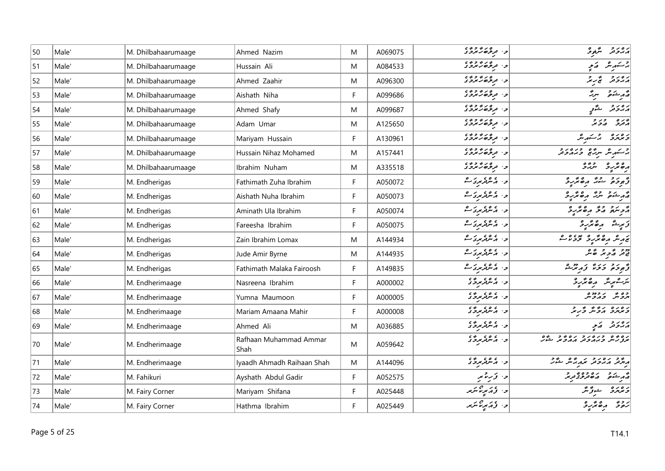| 50 | Male' | M. Dhilbahaarumaage | Ahmed Nazim                    | M           | A069075 | و ۱ ور ۶ و ۶ و ۶<br>و ۰ ترون <i>ر برو</i> ی           | پر 9 پر و<br>سَرْە ئە                                                                                                                                                                                                           |
|----|-------|---------------------|--------------------------------|-------------|---------|-------------------------------------------------------|---------------------------------------------------------------------------------------------------------------------------------------------------------------------------------------------------------------------------------|
| 51 | Male' | M. Dhilbahaarumaage | Hussain Ali                    | M           | A084533 | و . د و <i>د و و ه</i> ،<br>و . در ژ <i>ه ر برو د</i> | برسكهر شركمي                                                                                                                                                                                                                    |
| 52 | Male' | M. Dhilbahaarumaage | Ahmed Zaahir                   | M           | A096300 |                                                       | د ۱۵ د ح کم محرم د                                                                                                                                                                                                              |
| 53 | Male' | M. Dhilbahaarumaage | Aishath Niha                   | F           | A099686 |                                                       | ې مه شوه په<br>سرجر                                                                                                                                                                                                             |
| 54 | Male' | M. Dhilbahaarumaage | Ahmed Shafy                    | M           | A099687 | و ۰ توره <i>و و و ۰</i><br>و ۰ تور <i>ه ه ر برو</i> و | پروژو<br>ر گھڻو<br>سنڌي                                                                                                                                                                                                         |
| 55 | Male' | M. Dhilbahaarumaage | Adam Umar                      | M           | A125650 | و . د و د و و .<br>و . ترتژه <i>ر برو</i> د           | پره ورو<br>مرتور مرکب                                                                                                                                                                                                           |
| 56 | Male' | M. Dhilbahaarumaage | Mariyam Hussain                | F           | A130961 | و٠ در ووړ ووي                                         | دەرە جەكەش                                                                                                                                                                                                                      |
| 57 | Male' | M. Dhilbahaarumaage | Hussain Nihaz Mohamed          | M           | A157441 | ه دره و ده و ده و د                                   | י הודי מיט בינסידה<br>הרייקיים מיטיבי בינדיפים                                                                                                                                                                                  |
| 58 | Male' | M. Dhilbahaarumaage | Ibrahim Nuham                  | M           | A335518 | ه . مروه ژوي <del>.</del><br>او . مرو <i>ه ژبرو</i> ي | ەرھ ئ <sup>ۆ</sup> ر ۋ                                                                                                                                                                                                          |
| 59 | Male' | M. Endherigas       | Fathimath Zuha Ibrahim         | $\mathsf F$ | A050072 | د به مرمر <i>مری ک</i>                                | توجده خبر مقترره                                                                                                                                                                                                                |
| 60 | Male' | M. Endherigas       | Aishath Nuha Ibrahim           | $\mathsf F$ | A050073 | د <sub>م</sub> مگر مرکز ک                             | ومرشو مرز مره تربرد                                                                                                                                                                                                             |
| 61 | Male' | M. Endherigas       | Aminath Ula Ibrahim            | F           | A050074 | و . كەشرىرىرى ك                                       | ړو شه د څه ره ټرېږ                                                                                                                                                                                                              |
| 62 | Male' | M. Endherigas       | Fareesha Ibrahim               | F           | A050075 | د . م. مرکز مر <sub>کز</sub> ے                        | ۇ بېرىش مەھەرد                                                                                                                                                                                                                  |
| 63 | Male' | M. Endherigas       | Zain Ibrahim Lomax             | M           | A144934 | و <i>به مرتز مریک ک</i>                               | ىم بىر مەھكرىدە بودىن ك                                                                                                                                                                                                         |
| 64 | Male' | M. Endherigas       | Jude Amir Byrne                | M           | A144935 | د <sub>م</sub> مگرمگر <i>مرد گ</i>                    | وو د و د ځمر                                                                                                                                                                                                                    |
| 65 | Male' | M. Endherigas       | Fathimath Malaka Fairoosh      | F           | A149835 | د <sub>ا</sub> کم مرکز <i>مرک<sup>م</sup> ک</i>       | وتجوخا والاراد والمرجمية                                                                                                                                                                                                        |
| 66 | Male' | M. Endherimaage     | Nasreena Ibrahim               | F           | A000002 | ى مەشكەر <i>ە ئ</i>                                   | يرَڪْبِرِينَ رِڪْبَرِيرَ                                                                                                                                                                                                        |
| 67 | Male' | M. Endherimaage     | Yumna Maumoon                  | F           | A000005 | د . گەش گەرگە ئە                                      | כפיז גבודים<br>תכית בגבית                                                                                                                                                                                                       |
| 68 | Male' | M. Endherimaage     | Mariam Amaana Mahir            | F           | A000008 | ه ۱ م مرکز برد کار<br>د ۱ م مرکز برد کا               | ג סגם גובוב בגב                                                                                                                                                                                                                 |
| 69 | Male' | M. Endherimaage     | Ahmed Ali                      | M           | A036885 | د . م <sup>ر</sup> شرفر <i>مرد</i> د                  | پروژو کرم                                                                                                                                                                                                                       |
| 70 | Male' | M. Endherimaage     | Rafhaan Muhammad Ammar<br>Shah | M           | A059642 | و٠ گەش گرىر گە ئ                                      | رەپە درەرد رەپەد بەر<br>برزىس دىرەرىر مەدىر ش                                                                                                                                                                                   |
| 71 | Male' | M. Endherimaage     | Iyaadh Ahmadh Raihaan Shah     | M           | A144096 | <sub>و</sub> . كەنگە <i>كەنگە</i> ئ                   | مارو رەرو ئەرئىر شرك                                                                                                                                                                                                            |
| 72 | Male' | M. Fahikuri         | Ayshath Abdul Gadir            | F           | A052575 | وسۇرىقىر                                              | و در ده ده وه در در در کلیمتر بر در استفاده بر در استفاده بر در استفاده بر در استفاده بر در استفاده بر دست کرد<br>در کلیمتر در استفاده بر در استفاده بر در استفاده بر در استفاده بر در استفاده بر در استفاده بر در استفاده بر د |
| 73 | Male' | M. Fairy Corner     | Mariyam Shifana                | F           | A025448 | د· <i>ذکەبرى</i> كىلە                                 | رەرە <sub>شو</sub> ژى <i>گ</i>                                                                                                                                                                                                  |
| 74 | Male' | M. Fairy Corner     | Hathma Ibrahim                 | F           | A025449 | د· <i>ذکە ئېرىتى مىڭ</i> ر                            | 5.2000000                                                                                                                                                                                                                       |
|    |       |                     |                                |             |         |                                                       |                                                                                                                                                                                                                                 |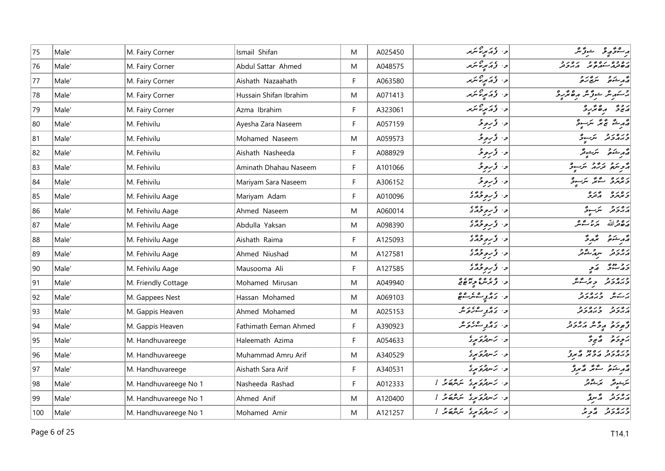| 75  | Male' | M. Fairy Corner       | Ismail Shifan          | M           | A025450 | د· د ډېر پاسمه                             | پرسمۇ پەيچە ھەسىر ئىس                                                                                |
|-----|-------|-----------------------|------------------------|-------------|---------|--------------------------------------------|------------------------------------------------------------------------------------------------------|
| 76  | Male' | M. Fairy Corner       | Abdul Sattar Ahmed     | ${\sf M}$   | A048575 | د· د ډېر پاسمه                             |                                                                                                      |
| 77  | Male' | M. Fairy Corner       | Aishath Nazaahath      | F           | A063580 | د· دُ تَمَ بِرِينَا مَدَبَهِ               | و محمد مشاهد المحمد المحمد المحمد المحمد المحمد المحمد المحمد المحمد المحمد المحمد المحمد المحمد الم |
| 78  | Male' | M. Fairy Corner       | Hussain Shifan Ibrahim | M           | A071413 | د ۰ د ډېر پاسمبر<br>  د ۰ د ډېر پاسمبر     | ج کرمر شروع کرده مردم د                                                                              |
| 79  | Male' | M. Fairy Corner       | Azma Ibrahim           | F           | A323061 | <sub>ج∙ قۇ</sub> ر <sub>ىم</sub> رىمىترىر  | $5 - 5 - 5 - 5$                                                                                      |
| 80  | Male' | M. Fehivilu           | Ayesha Zara Naseem     | F           | A057159 | و، ۇروۋ                                    | مەر ئەستىم ئىچە ئىر ئىبر                                                                             |
| 81  | Male' | M. Fehivilu           | Mohamed Naseem         | ${\sf M}$   | A059573 | ه · د کره د                                | כנסנכ תניית                                                                                          |
| 82  | Male' | M. Fehivilu           | Aishath Nasheeda       | F           | A088929 | ه . ڈروڈ                                   | أقهر مشكاة المستكر مترافكر                                                                           |
| 83  | Male' | M. Fehivilu           | Aminath Dhahau Naseem  | $\mathsf F$ | A101066 | وسؤر عرفر                                  | أأرو رود برسو                                                                                        |
| 84  | Male' | M. Fehivilu           | Mariyam Sara Naseem    | F           | A306152 | و، ۇروۋ                                    | د وړه له عمر مرکب دی                                                                                 |
| 85  | Male' | M. Fehivilu Aage      | Mariyam Adam           | F           | A010096 | و· تۇر <sub>ە ب</sub> وي <sub>دى</sub>     | أوجود والمجردة                                                                                       |
| 86  | Male' | M. Fehivilu Aage      | Ahmed Naseem           | ${\sf M}$   | A060014 | ه و و ده وه و                              | پرویو کرکے                                                                                           |
| 87  | Male' | M. Fehivilu Aage      | Abdulla Yaksan         | M           | A098390 | وسؤر ووه                                   | ېرىز شەھر<br>برە تراللە                                                                              |
| 88  | Male' | M. Fehivilu Aage      | Aishath Raima          | F           | A125093 | ه و و ده و                                 | أقهر شكو المحمدة                                                                                     |
| 89  | Male' | M. Fehivilu Aage      | Ahmed Niushad          | ${\sf M}$   | A127581 | ه و کره دوه                                | ره رو سر شور                                                                                         |
| 90  | Male' | M. Fehivilu Aage      | Mausooma Ali           | F           | A127585 | ه و و ده وه و<br>د و رومه د                | د د دو په کرم                                                                                        |
| 91  | Male' | M. Friendly Cottage   | Mohamed Mirusan        | M           | A049940 | ه ، و ، وه و بره و ،<br>د ، و برس و پر و و | ورەرو دوغر                                                                                           |
| 92  | Male' | M. Gappees Nest       | Hassan Mohamed         | M           | A069103 | د ، درېږ شرعه وه                           | پرسه وره د و                                                                                         |
| 93  | Male' | M. Gappis Heaven      | Ahmed Mohamed          | ${\sf M}$   | A025153 | وسى دور ھەم ئەھ                            | ره رو وره رو<br>مدرو وبرمرو                                                                          |
| 94  | Male' | M. Gappis Heaven      | Fathimath Eeman Ahmed  | F           | A390923 | وسى دە يە ئەرەبىر                          | وتجوده وتحمد مددو                                                                                    |
| 95  | Male' | M. Handhuvareege      | Haleemath Azima        | $\mathsf F$ | A054633 | د · رکسروگروری                             | پَهِ دِچَمْ دِگْمِ دُّ                                                                               |
| 96  | Male' | M. Handhuvareege      | Muhammad Amru Arif     | M           | A340529 | و · كەس <i>قرۇ م</i> ېرى                   |                                                                                                      |
| 97  | Male' | M. Handhuvareege      | Aishath Sara Arif      | F           | A340531 | و ، ئەسەرەك مېرى                           | ە ئەستىقى سىر ئەيرو                                                                                  |
| 98  | Male' | M. Handhuvareege No 1 | Nasheeda Rashad        | F           | A012333 | و. كسيروسي شهره 1                          | سَرَسْوِنَّرٌ   سَرَسْتُونَرُ                                                                        |
| 99  | Male' | M. Handhuvareege No 1 | Ahmed Anif             | ${\sf M}$   | A120400 | و كسرتركو مريد الكرماني الم                | أرەر ئەس                                                                                             |
| 100 | Male' | M. Handhuvareege No 1 | Mohamed Amir           | M           | A121257 | و. كلوروس مركز و 1                         | 2 2 21012                                                                                            |
|     |       |                       |                        |             |         |                                            |                                                                                                      |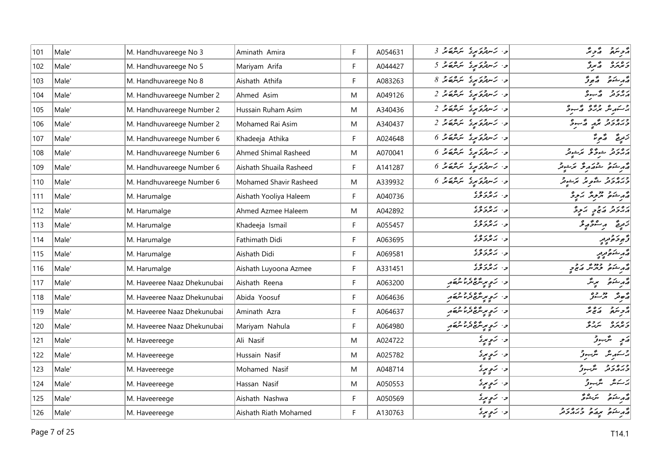| 101 | Male' | M. Handhuvareege No 3       | Aminath Amira               | F         | A054631 | و- كالمعروب مراكب كالمحامر في                                                                                 | أثر حريحهم<br>وًر پژ                                                                                 |
|-----|-------|-----------------------------|-----------------------------|-----------|---------|---------------------------------------------------------------------------------------------------------------|------------------------------------------------------------------------------------------------------|
| 102 | Male' | M. Handhuvareege No 5       | Mariyam Arifa               | F         | A044427 | أو · كالموقوع عبد المستركة بمستركز المحمد المستركز المستركز المستركز المستركز المستركز المستركز المس          | ر ه ر ه<br>د بربرگ<br>ەر بورتى                                                                       |
| 103 | Male' | M. Handhuvareege No 8       | Aishath Athifa              | F         | A083263 | و · كالمورد مورد الكرمان المحد الم                                                                            | رحمي وحمح<br>پ <sup>و</sup> پر شده.                                                                  |
| 104 | Male' | M. Handhuvareege Number 2   | Ahmed Asim                  | M         | A049126 | و · كاسهورو موسر كار محمد 2 / 2                                                                               | رەرد شەر                                                                                             |
| 105 | Male' | M. Handhuvareege Number 2   | Hussain Ruham Asim          | M         | A340436 | د · كەسلەر دىنى ئەس ئەسىر 2 /                                                                                 | و من الله علي الله الله الله و الله و الله و الله و الله و الله و الله و الله و الله و الله و الله و |
| 106 | Male' | M. Handhuvareege Number 2   | Mohamed Rai Asim            | M         | A340437 | و. كەرەر ئەس ئەرەپ كە                                                                                         | ورەرو ئۇر ئەسوۋ                                                                                      |
| 107 | Male' | M. Handhuvareege Number 6   | Khadeeja Athika             | F         | A024648 | و كالعروبي كريم كالمراكز كا                                                                                   |                                                                                                      |
| 108 | Male' | M. Handhuvareege Number 6   | <b>Ahmed Shimal Rasheed</b> | ${\sf M}$ | A070041 | و. كەرلەر ئەس ئەس كە ئ                                                                                        | رەر دې جاۋى كەجەم                                                                                    |
| 109 | Male' | M. Handhuvareege Number 6   | Aishath Shuaila Rasheed     | F.        | A141287 | $6.$ كَسْتَرْوَمْ بِرِدْ الْمَرْسُوْمَ بِرِدْ $\sim$                                                          | أَمُّ مِسْتَوْمٍ مُسْتَوَمِّدٍ مِّنْ مِسْتَوْمِّدٍ                                                   |
| 110 | Male' | M. Handhuvareege Number 6   | Mohamed Shavir Rasheed      | M         | A339932 | $6.$ كَسْتَدْوَمِرِ لَا سَرْسَرْهَ لَهُ $\sim$                                                                | ورەرو شۇمۇ برىيە                                                                                     |
| 111 | Male' | M. Harumalge                | Aishath Yooliya Haleem      | F         | A040736 | و٠ برورو٥                                                                                                     | مەر شىم تەر ئەر ئەر ئە                                                                               |
| 112 | Male' | M. Harumalge                | Ahmed Azmee Haleem          | M         | A042892 | ر د ه ره د<br>د · بربرونوی                                                                                    | أرورو أروا أرواح                                                                                     |
| 113 | Male' | M. Harumalge                | Khadeeja Ismail             | F         | A055457 | ر ه ره ده و<br><del>د</del> بر پرونوی                                                                         | زَمِرِةً مِرْ وُمُحَمَّدٍ وَ                                                                         |
| 114 | Male' | M. Harumalge                | Fathimath Didi              | F         | A063695 | ر د ه ره د<br>د ۰ بربرونور                                                                                    | ا توجو <i>ج</i> تو تو تو پر                                                                          |
| 115 | Male' | M. Harumalge                | Aishath Didi                | F         | A069581 | و . کربرو و ی<br>و . کربرو لوی                                                                                | د .<br>د کمر شکوه توپو                                                                               |
| 116 | Male' | M. Harumalge                | Aishath Luyoona Azmee       | F         | A331451 | و٠ برورو٥                                                                                                     | ה ביני בחבר נדי                                                                                      |
| 117 | Male' | M. Haveeree Naaz Dhekunubai | Aishath Reena               | F         | A063200 | ح سره مرسر ده و د و چې د به کلیکه د او د اسرا د کلیکه د او د اسرا د کلیک د کلیک د کلیک د کلیک د کلیک د کلیک د | ە ئەھمەت ئىسىسى<br>ئىس ئىسىسىسى                                                                      |
| 118 | Male' | M. Haveeree Naaz Dhekunubai | Abida Yoosuf                | F         | A064636 | ح بە كىم پەيدىكە تەرىپ سىھەر                                                                                  | ړُه تر دره ده                                                                                        |
| 119 | Male' | M. Haveeree Naaz Dhekunubai | Aminath Azra                | F         | A064637 | و به کره میرس در میرود آمریکا<br> و به کره میرس در میران                                                      | ر ه بو.<br>در با<br>أزدبتهم                                                                          |
| 120 | Male' | M. Haveeree Naaz Dhekunubai | Mariyam Nahula              | F         | A064980 | د کویر مرد و در در م                                                                                          | ر ه ر ه<br><del>ر</del> بربر ژ<br>سرژنژ                                                              |
| 121 | Male' | M. Haveereege               | Ali Nasif                   | M         | A024722 | ح ب کرمو پی <sub>و</sub> ی<br>م                                                                               | أەسمج الترب وقر                                                                                      |
| 122 | Male' | M. Haveereege               | Hussain Nasif               | M         | A025782 | ح• سڪي پيري<br>ح                                                                                              | ىرىسىمەش ئى <i>رىسى</i> ر                                                                            |
| 123 | Male' | M. Haveereege               | Mohamed Nasif               | M         | A048714 | و به کیمویوندگا                                                                                               | ورەر د شەر                                                                                           |
| 124 | Male' | M. Haveereege               | Hassan Nasif                | M         | A050553 | و٠ رک <sub>يم مور</sub> ي<br>د                                                                                | ئەسەنلەر ئىگە ئىب تۇ                                                                                 |
| 125 | Male' | M. Haveereege               | Aishath Nashwa              | F         | A050569 | و٠ رک <sub>ي</sub> پورگ                                                                                       | مەر شەق سىر شەق                                                                                      |
| 126 | Male' | M. Haveereege               | Aishath Riath Mohamed       | F         | A130763 | ح به کی عبدتگی<br>منبر استان                                                                                  | د دره در دره در در در د                                                                              |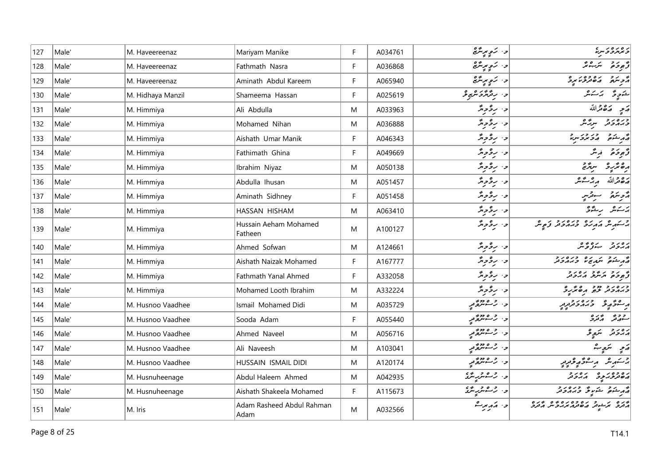| 127 | Male' | M. Haveereenaz    | Mariyam Manike                    | F  | A034761 | و کی پرېنځ                                | ر ەر ەر يې                                                       |
|-----|-------|-------------------|-----------------------------------|----|---------|-------------------------------------------|------------------------------------------------------------------|
| 128 | Male' | M. Haveereenaz    | Fathmath Nasra                    | F  | A036868 | <sub>و</sub> . ئە <sub>ۋ</sub> بىرىترچ    | وتجوحا والمراجي                                                  |
| 129 | Male' | M. Haveereenaz    | Aminath Abdul Kareem              | F  | A065940 | و به کی پیشی                              | הכיתם הסיניכלתכ                                                  |
| 130 | Male' | M. Hidhaya Manzil | Shameema Hassan                   | F  | A025619 | و . روگرگر صحیحه                          | برسەمىر<br>شکو و گ                                               |
| 131 | Male' | M. Himmiya        | Ali Abdulla                       | M  | A033963 | د· رِوُّوپُرَ                             | أصَعِيد مَصْحَدِاللّهُ                                           |
| 132 | Male' | M. Himmiya        | Mohamed Nihan                     | M  | A036888 | د رودگر                                   | ورەرو سەھ                                                        |
| 133 | Male' | M. Himmiya        | Aishath Umar Manik                | F  | A046343 | د· رِوْدِيَّ                              | התגים בניכנית                                                    |
| 134 | Male' | M. Himmiya        | Fathimath Ghina                   | F  | A049669 | د· رِوْدِيَّ                              | وٌجوحو مرسَّر                                                    |
| 135 | Male' | M. Himmiya        | Ibrahim Niyaz                     | M  | A050138 | و روود                                    | وەشرىر سرزى                                                      |
| 136 | Male' | M. Himmiya        | Abdulla Ihusan                    | M  | A051457 | د· رِدْدِرٌ                               | برە تراللە<br>مەرمىشىر                                           |
| 137 | Male' | M. Himmiya        | Aminath Sidhney                   | F  | A051458 | د· رِدْدِرٌ                               | أزويتكم سورسير                                                   |
| 138 | Male' | M. Himmiya        | HASSAN HISHAM                     | M  | A063410 | و روودگر                                  | ىرىكىش رىقۇ                                                      |
| 139 | Male' | M. Himmiya        | Hussain Aeham Mohamed<br>Fatheen  | M  | A100127 | و· رِوُو پُرُ                             | ב אול הגוב בגובד ציפית                                           |
| 140 | Male' | M. Himmiya        | Ahmed Sofwan                      | M  | A124661 | <sub>و</sub> . رِوْ <sub>وِ</sub> رُّ     | رەرد بەۋەش                                                       |
| 141 | Male' | M. Himmiya        | Aishath Naizak Mohamed            | F  | A167777 | د· رِدْدِرٌ                               | مەرشۇم شرىق دىرەرد                                               |
| 142 | Male' | M. Himmiya        | Fathmath Yanal Ahmed              | F  | A332058 | <sub>و</sub> . رِوْ <sub>وِ</sub> رُّ     | و د د د د د ده د د<br>ژبوده مرسرد مددند                          |
| 143 | Male' | M. Himmiya        | Mohamed Looth Ibrahim             | M  | A332224 | <sub>و</sub> . رِوْ <sub>و</sub> ِرُّ     | כנסנד ככב הסתנים                                                 |
| 144 | Male' | M. Husnoo Vaadhee | Ismail Mohamed Didi               | M  | A035729 | د . گرگ مردم <sub>مر</sub>                | ر موځ په د ده د د ترتويو                                         |
| 145 | Male' | M. Husnoo Vaadhee | Sooda Adam                        | F  | A055440 | ى بەر 2009 ي <sub>ىر</sub>                | رووی پوره<br>سوړنگر پرتون                                        |
| 146 | Male' | M. Husnoo Vaadhee | Ahmed Naveel                      | M  | A056716 | و، رژ شهره تو په                          | دەر د سەر ئى                                                     |
| 147 | Male' | M. Husnoo Vaadhee | Ali Naveesh                       | M  | A103041 | .<br>د . ر شهره تور                       | أرجو التربي والمحمد                                              |
| 148 | Male' | M. Husnoo Vaadhee | HUSSAIN ISMAIL DIDI               | M  | A120174 | <br> د . ر مشتره مړ                       | برسكريش وستوضيعي                                                 |
| 149 | Male' | M. Husnuheenage   | Abdul Haleem Ahmed                | M  | A042935 | <sub>و</sub> . ژے م <sub>رکب</sub> ر میگی | ره وه بر ده در و<br>پرهنروبر پور بر بر در                        |
| 150 | Male' | M. Husnuheenage   | Aishath Shakeela Mohamed          | F. | A115673 | د. ژڪس پڻدي                               | ה<br>האני לכם ליות במחכת                                         |
| 151 | Male' | M. Iris           | Adam Rasheed Abdul Rahman<br>Adam | M  | A032566 | و· مەمەيرىشە                              | برره مرشوتر ماه ۲۵٫۵۶۵ برره<br>ماترو مرشوتر ماهاترم مربروس ماترو |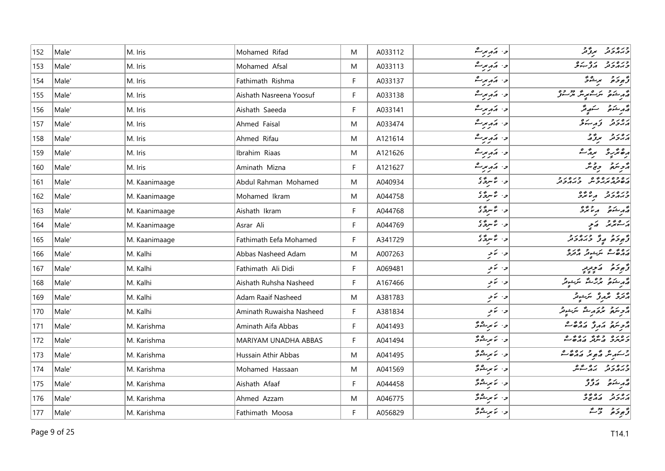| 152 | Male' | M. Iris       | Mohamed Rifad            | M           | A033112 | و، مەم بىر ھ                        | 32023 مرکز در محمد برای می<br>مرکز میں مرکز میں مرکز میں میں میں میں میں میں میں کر میں کا کہانی کے میں کا میں کا |
|-----|-------|---------------|--------------------------|-------------|---------|-------------------------------------|-------------------------------------------------------------------------------------------------------------------|
| 153 | Male' | M. Iris       | Mohamed Afsal            | M           | A033113 | و· مەمەيرىشە                        | ورەرو روپ                                                                                                         |
| 154 | Male' | M. Iris       | Fathimath Rishma         | $\mathsf F$ | A033137 | [د . مَ مريد <u>ه</u>               | أراوح والمستور                                                                                                    |
| 155 | Male' | M. Iris       | Aishath Nasreena Yoosuf  | F.          | A033138 | و· مەمە بىرىشە                      | ה<br>ה' אי לים יוצר תי יותר בי                                                                                    |
| 156 | Male' | M. Iris       | Aishath Saeeda           | F           | A033141 | <i>و، م</i> ەمبرىشە                 | ۇرىشكى كېر                                                                                                        |
| 157 | Male' | M. Iris       | Ahmed Faisal             | M           | A033474 | د . م <i>زم</i> ر پر <u>م</u>       | גפנים בה-בל                                                                                                       |
| 158 | Male' | M. Iris       | Ahmed Rifau              | M           | A121614 | د <sub>ا</sub> مکر مرت              | גפלב תְצֶב                                                                                                        |
| 159 | Male' | M. Iris       | Ibrahim Riaas            | M           | A121626 | د <sub>ا</sub> مکر مرت              | رە ئرىر ئىر ئى                                                                                                    |
| 160 | Male' | M. Iris       | Aminath Mizna            | F           | A121627 | د . م. م. م. م.<br>ا                | أأرجع وبمثر                                                                                                       |
| 161 | Male' | M. Kaanimaage | Abdul Rahman Mohamed     | M           | A040934 | د . ئۈسرۈي                          | נס כס נס זים - כנסג כ<br>השנה גיגיבייני - כגה כנ                                                                  |
| 162 | Male' | M. Kaanimaage | Mohamed Ikram            | M           | A044758 | د تأسرچ <sup>ى</sup><br>بر          | כנים גיב השימב                                                                                                    |
| 163 | Male' | M. Kaanimaage | Aishath Ikram            | F           | A044768 | د . م <sup>و</sup> سرچ <sup>ۍ</sup> | ومرشو معترد                                                                                                       |
| 164 | Male' | M. Kaanimaage | Asrar Ali                | F           | A044769 | د . ئاسردگر                         | برعيمته تمو                                                                                                       |
| 165 | Male' | M. Kaanimaage | Fathimath Eefa Mohamed   | $\mathsf F$ | A341729 | د . ئۈسرۈي                          | 37073 070 3703                                                                                                    |
| 166 | Male' | M. Kalhi      | Abbas Nasheed Adam       | M           | A007263 | احا ممکن                            |                                                                                                                   |
| 167 | Male' | M. Kalhi      | Fathimath Ali Didi       | F           | A069481 | اح - مکمل<br>اے                     | توادة المتحدد                                                                                                     |
| 168 | Male' | M. Kalhi      | Aishath Ruhsha Nasheed   | F           | A167466 | وستمو                               | و در در ده شود.<br>در شوی مرکث مرشوند                                                                             |
| 169 | Male' | M. Kalhi      | Adam Raaif Nasheed       | M           | A381783 | اح، مکمو                            | أرترو برمرو لترجيز                                                                                                |
| 170 | Male' | M. Kalhi      | Aminath Ruwaisha Nasheed | F           | A381834 | و، ئۈيۈ                             | أأوسم بمورث سكور                                                                                                  |
| 171 | Male' | M. Karishma   | Aminath Aifa Abbas       | F           | A041493 | <mark>و، ئائىرىش</mark> ۇ           | הכימה התנ" הרשים                                                                                                  |
| 172 | Male' | M. Karishma   | MARIYAM UNADHA ABBAS     | F           | A041494 | و· ئائىرىشۇ گە                      | ג סגם כשש גם שם.<br>כמתכ הייתה ההשיי                                                                              |
| 173 | Male' | M. Karishma   | Hussain Athir Abbas      | M           | A041495 | <sub>و</sub> . ئەمرىش <sup>ى</sup>  | ج ڪمر پڻ ۾ جو پر هڪره ڪ                                                                                           |
| 174 | Male' | M. Karishma   | Mohamed Hassaan          | M           | A041569 | <mark>و، ئائىرىش</mark> ۇ           | ورەرو رەپ ھە                                                                                                      |
| 175 | Male' | M. Karishma   | Aishath Afaaf            | F           | A044458 | ى ئەمرىشى<br>ئ                      | و ديده دوره<br>مارستو مارس                                                                                        |
| 176 | Male' | M. Karishma   | Ahmed Azzam              | M           | A046775 | <mark>و، ئائىرىش</mark> ۇ           | پر ور و<br>5500                                                                                                   |
| 177 | Male' | M. Karishma   | Fathimath Moosa          | F           | A056829 | و، ئەبرىش <sup>ى</sup>              | أوجوحه وتدمج                                                                                                      |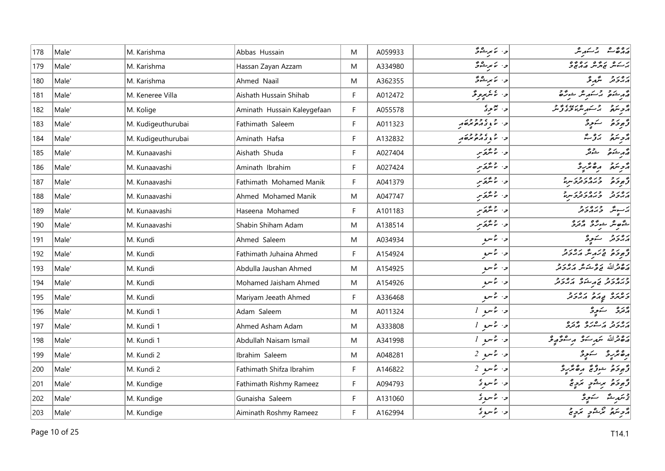| 178 | Male' | M. Karishma        | Abbas Hussain               | M           | A059933 | ى ئەمرىشى<br>ئ                           | رەپ ئەسىر                                               |
|-----|-------|--------------------|-----------------------------|-------------|---------|------------------------------------------|---------------------------------------------------------|
| 179 | Male' | M. Karishma        | Hassan Zayan Azzam          | M           | A334980 | ى ئەمرىشى<br>ئ                           | ر ده روه ره وه                                          |
| 180 | Male' | M. Karishma        | Ahmed Naail                 | M           | A362355 | وستمبر يثمرً                             | رەرد شرو                                                |
| 181 | Male' | M. Keneree Villa   | Aishath Hussain Shihab      | F           | A012472 | د· ئامگېرونځ                             | د د شوه بر سور شر شور شور شور به د                      |
| 182 | Male' | M. Kolige          | Aminath Hussain Kaleygefaan | F           | A055578 | و، میمور                                 |                                                         |
| 183 | Male' | M. Kudigeuthurubai | Fathimath Saleem            | F           | A011323 |                                          | ژ <sub>بوڅو</sub> شود                                   |
| 184 | Male' | M. Kudigeuthurubai | Aminath Hafsa               | $\mathsf F$ | A132832 |                                          | ۇرىرە بەۋب                                              |
| 185 | Male' | M. Kunaavashi      | Aishath Shuda               | F           | A027404 | د ، ئ <sub>ە</sub> ئىگەنبر               | و ديگر ديگر<br>مرد شوه شونگر                            |
| 186 | Male' | M. Kunaavashi      | Aminath Ibrahim             | F.          | A027424 | د ، ئ <sub>ە</sub> شمۇر                  | הכיתם הסיקיב                                            |
| 187 | Male' | M. Kunaavashi      | Fathimath Mohamed Manik     | F           | A041379 | د ، ئ <sub>ە</sub> شمۇر                  | 2 - 2 - 2 - 2 - 2<br>2 - ג ה 2 تور 2 سور<br>وٌ جو تر قر |
| 188 | Male' | M. Kunaavashi      | Ahmed Mohamed Manik         | M           | A047747 | <i>د ، م</i> ا متنفرسه                   | גם גם כגם גבדה.<br>הגבת כגהכתכיתיו                      |
| 189 | Male' | M. Kunaavashi      | Haseena Mohamed             | F           | A101183 | —<br>  <i>د ، ما</i> نگف <sup>ر</sup> یر | ر<br>برسوسر وبرورو                                      |
| 190 | Male' | M. Kunaavashi      | Shabin Shiham Adam          | M           | A138514 | د <sub>ا</sub> رهم ترکار                 | كأومر كركرة المترد                                      |
| 191 | Male' | M. Kundi           | Ahmed Saleem                | M           | A034934 | ح <sup>.</sup> ئىسى <sub>ر</sub>         | دەرو سەرو                                               |
| 192 | Male' | M. Kundi           | Fathimath Juhaina Ahmed     | F           | A154924 | احن ماهمع                                | و محمده و در مدارد در د                                 |
| 193 | Male' | M. Kundi           | Abdulla Jaushan Ahmed       | M           | A154925 | احن ماسع                                 | رەداللە يەھ شەش مەرد                                    |
| 194 | Male' | M. Kundi           | Mohamed Jaisham Ahmed       | M           | A154926 | احن ماسع                                 | ورەرو يەرشۇ مەدرو                                       |
| 195 | Male' | M. Kundi           | Mariyam Jeeath Ahmed        | F           | A336468 | وستمسو                                   | נסנס נגד נסנד                                           |
| 196 | Male' | M. Kundi 1         | Adam Saleem                 | M           | A011324 | $1, \overline{\ldots}$                   | پر پر عاموری                                            |
| 197 | Male' | M. Kundi 1         | Ahmed Asham Adam            | M           | A333808 | $1 - \sqrt{2 - 1}$                       | נים בין פינים ובינים<br>הגבת ה'-יניבי הבנבי             |
| 198 | Male' | M. Kundi 1         | Abdullah Naisam Ismail      | M           | A341998 | $1 - i$                                  | وَحْدَاللّهُ سَمِرِ خَدْمَ وَسُدَّرِّهِ وَ              |
| 199 | Male' | M. Kundi 2         | Ibrahim Saleem              | M           | A048281 | $2 \sqrt{2}$ ر محسو                      | أرەنزىر ئىبرو                                           |
| 200 | Male' | M. Kundi 2         | Fathimath Shifza Ibrahim    | F           | A146822 | $2 \sqrt{2}$ و. مذهبی                    | ژوده شروع ره دره                                        |
| 201 | Male' | M. Kundige         | Fathimath Rishmy Rameez     | $\mathsf F$ | A094793 | ح الم مثل مع تج                          | و و ده بر شو برد و                                      |
| 202 | Male' | M. Kundige         | Gunaisha Saleem             | F           | A131060 | وستمسور                                  | تخ سَرَمَدٌ سَنَ وِ وَ                                  |
| 203 | Male' | M. Kundige         | Aiminath Roshmy Rameez      | F           | A162994 | د . رم مبر <sub>و</sub> کا               | أأدمرة أكر المحافي المردح                               |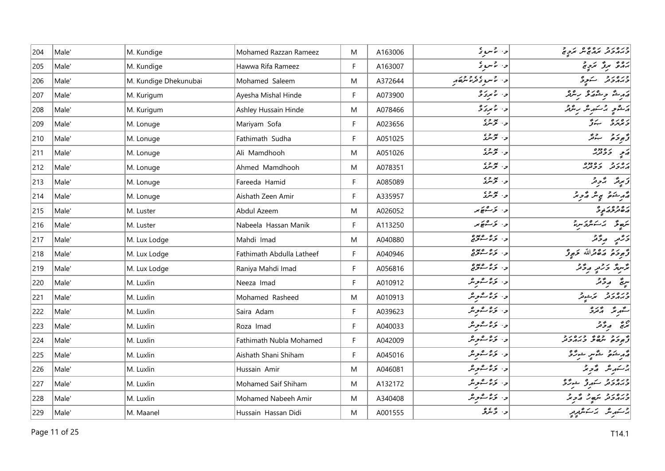| 204 | Male' | M. Kundige            | Mohamed Razzan Rameez     | M           | A163006 | و. المسورة                                         | ورەرو رەپە پرچ                                                                |
|-----|-------|-----------------------|---------------------------|-------------|---------|----------------------------------------------------|-------------------------------------------------------------------------------|
| 205 | Male' | M. Kundige            | Hawwa Rifa Rameez         | $\mathsf F$ | A163007 | د ، ئەسىدى                                         | پروژ برژ برې                                                                  |
| 206 | Male' | M. Kundige Dhekunubai | Mohamed Saleem            | M           | A372644 | - مسمو دوره منهم م                                 | ورەرو سوچ                                                                     |
| 207 | Male' | M. Kurigum            | Ayesha Mishal Hinde       | F           | A073900 | د ، ئامرۇۋ                                         | مكرك وكامكا والمرامح                                                          |
| 208 | Male' | M. Kurigum            | Ashley Hussain Hinde      | M           | A078466 | <sub>و</sub> . ئ <sub>ەمم</sub> ىرى                | ە ھو ئەسكەر ھەر ئار                                                           |
| 209 | Male' | M. Lonuge             | Mariyam Sofa              | F           | A023656 | و به مورد و                                        | رەرە بەر                                                                      |
| 210 | Male' | M. Lonuge             | Fathimath Sudha           | $\mathsf F$ | A051025 | و به مخرج کا                                       | أوالمجا وتحرير والمحتر                                                        |
| 211 | Male' | M. Lonuge             | Ali Mamdhooh              | M           | A051026 | و . مورو ،                                         | أەكمى ئەدەرە                                                                  |
| 212 | Male' | M. Lonuge             | Ahmed Mamdhooh            | M           | A078351 | و به بیوه په                                       | נסנכ נסכבם<br>הגבת בכתג                                                       |
| 213 | Male' | M. Lonuge             | Fareeda Hamid             | $\mathsf F$ | A085089 | و به مخرجوی                                        | وَ يَرِيمٌ مُتَّارِيْرٌ                                                       |
| 214 | Male' | M. Lonuge             | Aishath Zeen Amir         | F           | A335957 | و به مخرجوی                                        | وأمشكم بإشر ومجار                                                             |
| 215 | Male' | M. Luster             | Abdul Azeem               | M           | A026052 | ى ئۇسقۇم                                           | ره وه در ه<br>پره تر تر پر و                                                  |
| 216 | Male' | M. Luster             | Nabeela Hassan Manik      | F           | A113250 | ر . كۆرشگۈ بىر                                     |                                                                               |
| 217 | Male' | M. Lux Lodge          | Mahdi Imad                | M           | A040880 | د . نور مصره<br>د . نور سوره                       | ر.<br>در مرگ                                                                  |
| 218 | Male' | M. Lux Lodge          | Fathimath Abdulla Latheef | F           | A040946 | و· نۇنا شەپرە                                      | قرجرد بره والله ترجوقر                                                        |
| 219 | Male' | M. Lux Lodge          | Raniya Mahdi Imad         | $\mathsf F$ | A056816 | وستخرج كصيوه                                       | مجسره وکرم <sub>ر م</sub> وده.<br>مرسره وکرم <sub>ر م</sub> وده.<br>سره مرده. |
| 220 | Male' | M. Luxlin             | Neeza Imad                | F           | A010912 | <sub>و</sub> . ئۇن <sub>م</sub> ىشىرىش             |                                                                               |
| 221 | Male' | M. Luxlin             | Mohamed Rasheed           | M           | A010913 | ە . ئۇناشلۇش                                       | ورەرو كرشونر                                                                  |
| 222 | Male' | M. Luxlin             | Saira Adam                | F           | A039623 | د· ئۇناشىرىتى                                      | ستهریش وزوی                                                                   |
| 223 | Male' | M. Luxlin             | Roza Imad                 | F           | A040033 | ە ئەرەبىرىر                                        | ج ج جو<br>تربع ج                                                              |
| 224 | Male' | M. Luxlin             | Fathimath Nubla Mohamed   | $\mathsf F$ | A042009 | ە . ئۇناشلۇش                                       |                                                                               |
| 225 | Male' | M. Luxlin             | Aishath Shani Shiham      | F           | A045016 | و· ئۇناشىۋىتر                                      | ۇرمۇق مۇس مرگۇ                                                                |
| 226 | Male' | M. Luxlin             | Hussain Amir              | M           | A046081 | ە ئەنگە شەمەش                                      | ير سكر مثل الكرجر                                                             |
| 227 | Male' | M. Luxlin             | Mohamed Saif Shiham       | M           | A132172 | <sub>و</sub> . ئۇن <sub>م</sub> ش <sub>ى</sub> بىر | ورەرو سەرۇ ھەرى                                                               |
| 228 | Male' | M. Luxlin             | Mohamed Nabeeh Amir       | M           | A340408 | <sub>ح</sub> . ئۇن <sub>م</sub> ىشوپىر             | כמחכנג תוסל האביל                                                             |
| 229 | Male' | M. Maanel             | Hussain Hassan Didi       | M           | A001555 | و· وَسَرُوْ                                        | چەسىرىكى ئەسكىكرىيەت                                                          |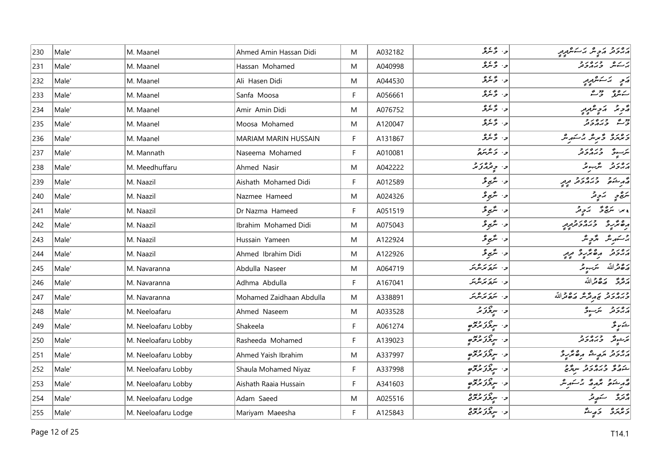| 230 | Male' | M. Maanel           | Ahmed Amin Hassan Didi      | M         | A032182 | و· ۇَئىرى                                        | د د د ته د چه د سکه او د                                                                                                                                                                                                            |
|-----|-------|---------------------|-----------------------------|-----------|---------|--------------------------------------------------|-------------------------------------------------------------------------------------------------------------------------------------------------------------------------------------------------------------------------------------|
| 231 | Male' | M. Maanel           | Hassan Mohamed              | M         | A040998 | و . گرمگرگر                                      | يركبش وره رو                                                                                                                                                                                                                        |
| 232 | Male' | M. Maanel           | Ali Hasen Didi              | M         | A044530 | و٠ ۇترۇ                                          | رَمِي برَسَة مرْمِرِمِرِ                                                                                                                                                                                                            |
| 233 | Male' | M. Maanel           | Sanfa Moosa                 | F         | A056661 | و . ۇ ئىربۇ                                      | سەھەر جوستە                                                                                                                                                                                                                         |
| 234 | Male' | M. Maanel           | Amir Amin Didi              | ${\sf M}$ | A076752 | و . ۇ ئىربى                                      | أأدوير أأأو يترفوقو                                                                                                                                                                                                                 |
| 235 | Male' | M. Maanel           | Moosa Mohamed               | M         | A120047 | د گرگرگر                                         | أوق ورەرو                                                                                                                                                                                                                           |
| 236 | Male' | M. Maanel           | <b>MARIAM MARIN HUSSAIN</b> | F         | A131867 | و٠ وَ تروُ                                       | ويرمروا وتمرش برسكريش                                                                                                                                                                                                               |
| 237 | Male' | M. Mannath          | Naseema Mohamed             | F         | A010081 | و . ژهرسه                                        | أنترسون وره رو                                                                                                                                                                                                                      |
| 238 | Male' | M. Meedhuffaru      | Ahmed Nasir                 | M         | A042222 | <sub>و</sub> ، <sub>حي</sub> ترونونو             | رەرد شەر                                                                                                                                                                                                                            |
| 239 | Male' | M. Naazil           | Aishath Mohamed Didi        | F         | A012589 | د. سگيږگر                                        |                                                                                                                                                                                                                                     |
| 240 | Male' | M. Naazil           | Nazmee Hameed               | M         | A024326 | د. سٌمبوڤر                                       | يرچ چې پر چې پر                                                                                                                                                                                                                     |
| 241 | Male' | M. Naazil           | Dr Nazma Hameed             | F         | A051519 | د. سگيږ گ                                        | ، سرچ کرد                                                                                                                                                                                                                           |
| 242 | Male' | M. Naazil           | Ibrahim Mohamed Didi        | M         | A075043 | د. سَّمَعِ دُ                                    | ە ئەرەبەر دەردىرىر<br>بەھەر دەرەر دىر                                                                                                                                                                                               |
| 243 | Male' | M. Naazil           | Hussain Yameen              | M         | A122924 | <sub>د</sub> . سگيږ گ                            | ر مسكر مركز مركز مركز بالكرد بالكرد بالكرد بالكرد بالكرد بالكرد بالكرد بالكرد بالكرد بالكرد بالكرد بالكرد بالك<br>مركز بالكرد بالكرد بالكرد بالكرد بالكرد بالكرد بالكرد بالكرد بالكرد بالكرد بالكرد بالكرد بالكرد بالكرد بالكرد<br> |
| 244 | Male' | M. Naazil           | Ahmed Ibrahim Didi          | M         | A122926 | د. سگيږي                                         | ג פיני ה לייני ביני                                                                                                                                                                                                                 |
| 245 | Male' | M. Navaranna        | Abdulla Naseer              | M         | A064719 | وسترة بركريتر                                    | أرة قرالله تترجيحه                                                                                                                                                                                                                  |
| 246 | Male' | M. Navaranna        | Adhma Abdulla               | F         | A167041 | والمتوكونكر مركز                                 | أروء ره قرالله                                                                                                                                                                                                                      |
| 247 | Male' | M. Navaranna        | Mohamed Zaidhaan Abdulla    | M         | A338891 | وسترة برائد                                      | ورەرو برېژىش مەھمەللە                                                                                                                                                                                                               |
| 248 | Male' | M. Neeloafaru       | Ahmed Naseem                | M         | A033528 | د <sub>: سر</sub> وکو ټر                         | د مرد پر سر د                                                                                                                                                                                                                       |
| 249 | Male' | M. Neeloafaru Lobby | Shakeela                    | F         | A061274 | د به سرد د کرده<br>د به سرد د کرده               | ىشكىرىتى<br>ئ                                                                                                                                                                                                                       |
| 250 | Male' | M. Neeloafaru Lobby | Rasheeda Mohamed            | F         | A139023 | د برگر دیو<br>د برگر مرکزه                       | ر دره دره دو.<br>مرش <sub>و</sub> تر وبردوتر                                                                                                                                                                                        |
| 251 | Male' | M. Neeloafaru Lobby | Ahmed Yaish Ibrahim         | M         | A337997 | د· سرد ژبر د بو <sub>ر</sub> ه<br>په سرد ژبر ژبو | أرور و مركز مدة المستور                                                                                                                                                                                                             |
| 252 | Male' | M. Neeloafaru Lobby | Shaula Mohamed Niyaz        | F         | A337998 | و <sub>` سر</sub> وز بروم<br>                    | د و و دره د و سرگرم                                                                                                                                                                                                                 |
| 253 | Male' | M. Neeloafaru Lobby | Aishath Raaia Hussain       | F         | A341603 | و <sub>`</sub> سرد و برد ه<br> و` سرد و برد ه    | قەرشىق ئىرق 2 سىر ش                                                                                                                                                                                                                 |
| 254 | Male' | M. Neeloafaru Lodge | Adam Saeed                  | M         | A025516 | <sub>ج∙س</sub> رگزور دیده                        | أردره ستهيد                                                                                                                                                                                                                         |
| 255 | Male' | M. Neeloafaru Lodge | Mariyam Maeesha             | F         | A125843 | و. سرچونوچوه<br> و. سرچونوچوچ                    | رەرە دەپ                                                                                                                                                                                                                            |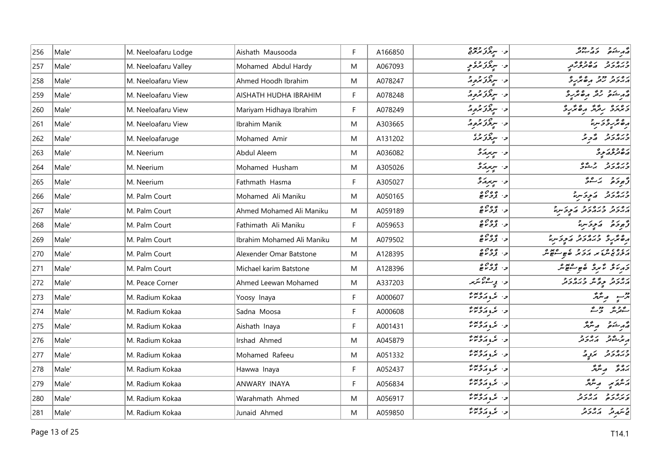| 256 | Male' | M. Neeloafaru Lodge  | Aishath Mausooda           | F. | A166850 | و . سرگر کر ویوه<br>د . سرگر کر مرکز تع                                                                                                                                                                                                                                                                                                                                                                                                                   | و در در دور<br>مگر شوی در سوتر                                                                                                                                                                                                   |
|-----|-------|----------------------|----------------------------|----|---------|-----------------------------------------------------------------------------------------------------------------------------------------------------------------------------------------------------------------------------------------------------------------------------------------------------------------------------------------------------------------------------------------------------------------------------------------------------------|----------------------------------------------------------------------------------------------------------------------------------------------------------------------------------------------------------------------------------|
| 257 | Male' | M. Neeloafaru Valley | Mohamed Abdul Hardy        | M  | A067093 | د <sub>: سر</sub> چور چ <sub>رچ</sub> و                                                                                                                                                                                                                                                                                                                                                                                                                   | ورەر دەرەپ<br><i>دىد</i> روىر مەھىرىرگىر                                                                                                                                                                                         |
| 258 | Male' | M. Neeloafaru View   | Ahmed Hoodh Ibrahim        | M  | A078247 | د· سرگزو مرور                                                                                                                                                                                                                                                                                                                                                                                                                                             | גם גד ככב תפי <i>צ</i> גל                                                                                                                                                                                                        |
| 259 | Male' | M. Neeloafaru View   | AISHATH HUDHA IBRAHIM      | F. | A078248 | د <sub>: سر</sub> ژو <sub>مروم</sub>                                                                                                                                                                                                                                                                                                                                                                                                                      | ړ. دغو رنگر مره لرن                                                                                                                                                                                                              |
| 260 | Male' | M. Neeloafaru View   | Mariyam Hidhaya Ibrahim    | F  | A078249 | د <sub>: سر</sub> ژۇنر <sub>و</sub> ر                                                                                                                                                                                                                                                                                                                                                                                                                     | رەرە رىگە مەھكرو                                                                                                                                                                                                                 |
| 261 | Male' | M. Neeloafaru View   | Ibrahim Manik              | M  | A303665 | د . سرد د د د د                                                                                                                                                                                                                                                                                                                                                                                                                                           | ە ھەترىر 3 كەسرىد                                                                                                                                                                                                                |
| 262 | Male' | M. Neeloafaruge      | Mohamed Amir               | M  | A131202 | د . سرگرو د ،<br>د . سرگرو ندد                                                                                                                                                                                                                                                                                                                                                                                                                            | כנסנכ בכב                                                                                                                                                                                                                        |
| 263 | Male' | M. Neerium           | Abdul Aleem                | M  | A036082 | او، سرپورو<br><u>سندست</u>                                                                                                                                                                                                                                                                                                                                                                                                                                | ره وه ر<br>په څنرمه پر د                                                                                                                                                                                                         |
| 264 | Male' | M. Neerium           | Mohamed Husham             | M  | A305026 | او، سربر ره<br><u>سربر ر</u> ه                                                                                                                                                                                                                                                                                                                                                                                                                            | و ر ه ر د<br>د بر بر تر                                                                                                                                                                                                          |
| 265 | Male' | M. Neerium           | Fathmath Hasma             | F. | A305027 | او ، سربوره<br>است.                                                                                                                                                                                                                                                                                                                                                                                                                                       | توجوخه برحدة                                                                                                                                                                                                                     |
| 266 | Male' | M. Palm Court        | Mohamed Ali Maniku         | M  | A050165 | $\overset{o}{e} \overset{o}{\sim} \overset{o}{\sim} \overset{o}{\sim} \overset{\sim}{\sim}$                                                                                                                                                                                                                                                                                                                                                               | כנסנב הבביעי                                                                                                                                                                                                                     |
| 267 | Male' | M. Palm Court        | Ahmed Mohamed Ali Maniku   | M  | A059189 | $\begin{smallmatrix} 0 & 0 & 0 & \mathscr{C} & 0 & \mathscr{C} & \mathscr{C} & \mathscr{C} & \mathscr{C} & \mathscr{C} & \mathscr{C} & \mathscr{C} & \mathscr{C} & \mathscr{C} & \mathscr{C} & \mathscr{C} & \mathscr{C} & \mathscr{C} & \mathscr{C} & \mathscr{C} & \mathscr{C} & \mathscr{C} & \mathscr{C} & \mathscr{C} & \mathscr{C} & \mathscr{C} & \mathscr{C} & \mathscr{C} & \mathscr{C} & \mathscr{C} & \mathscr{C} & \mathscr{C} & \mathscr{C}$ | גפנג בגתכת התביתי                                                                                                                                                                                                                |
| 268 | Male' | M. Palm Court        | Fathimath Ali Maniku       | F. | A059653 | $\overset{o}{e} \overset{o}{\sim} \overset{o}{\sim} \overset{o}{\sim} \overset{\sim}{\sim}$                                                                                                                                                                                                                                                                                                                                                               | أزودة أيدوسر                                                                                                                                                                                                                     |
| 269 | Male' | M. Palm Court        | Ibrahim Mohamed Ali Maniku | M  | A079502 | $\begin{smallmatrix} 0 & 0 & 0 & \mathscr{C} & 0 & \mathscr{C} & \mathscr{C} & \mathscr{C} & \mathscr{C} & \mathscr{C} & \mathscr{C} & \mathscr{C} & \mathscr{C} & \mathscr{C} & \mathscr{C} & \mathscr{C} & \mathscr{C} & \mathscr{C} & \mathscr{C} & \mathscr{C} & \mathscr{C} & \mathscr{C} & \mathscr{C} & \mathscr{C} & \mathscr{C} & \mathscr{C} & \mathscr{C} & \mathscr{C} & \mathscr{C} & \mathscr{C} & \mathscr{C} & \mathscr{C} & \mathscr{C}$ | ת בינים כמתכני התפיתי                                                                                                                                                                                                            |
| 270 | Male' | M. Palm Court        | Alexender Omar Batstone    | M  | A128395 | ر په وړه و                                                                                                                                                                                                                                                                                                                                                                                                                                                | ק מ מ מ קייקוד מ מ מ מ מ מ מ ייקוד ות המ ייקוד ות המ ייקוד ות המ ייקוד ות המ המ הייקוד ות המ המ הייקוד ות המ ה<br>הייקוד המידע וקוד המידע להמידע המידע המידע המידע המידע המידע המידע המידע המידע המידע המידע המידע המידע המידע ה |
| 271 | Male' | M. Palm Court        | Michael karim Batstone     | M  | A128396 | $\overset{o}{e}\overset{o}{\sim}\overset{o}{\sim}\overset{o}{\sim}\overset{\sim}{\sim}$                                                                                                                                                                                                                                                                                                                                                                   | دَرِيزْ تَبْرِدْ كَامِرْ مْعَيْرْ                                                                                                                                                                                                |
| 272 | Male' | M. Peace Corner      | Ahmed Leewan Mohamed       | M  | A337203 | <sub>چ'</sub> پوس <sup>9</sup> 0 مىرىمە                                                                                                                                                                                                                                                                                                                                                                                                                   | ره رو په وره رو                                                                                                                                                                                                                  |
| 273 | Male' | M. Radium Kokaa      | Yoosy Inaya                | F. | A000607 |                                                                                                                                                                                                                                                                                                                                                                                                                                                           | أثرب وبتند                                                                                                                                                                                                                       |
| 274 | Male' | M. Radium Kokaa      | Sadna Moosa                | F. | A000608 | ז ג'ס <i>יצ</i>                                                                                                                                                                                                                                                                                                                                                                                                                                           | گەرىر دىم                                                                                                                                                                                                                        |
| 275 | Male' | M. Radium Kokaa      | Aishath Inaya              | F  | A001431 | בי יציג מביני<br>כי יציג מביניו                                                                                                                                                                                                                                                                                                                                                                                                                           | مەرشكى مەشكە                                                                                                                                                                                                                     |
| 276 | Male' | M. Radium Kokaa      | Irshad Ahmed               | M  | A045879 | פי י <i>ב</i> ו בקבע<br>פי יבו בקבע                                                                                                                                                                                                                                                                                                                                                                                                                       | د بر شود در در د                                                                                                                                                                                                                 |
| 277 | Male' | M. Radium Kokaa      | Mohamed Rafeeu             | M  | A051332 | פי י <i>ב</i> ו בקבעים<br>פי יבו בקבעים                                                                                                                                                                                                                                                                                                                                                                                                                   | ورەر ئەرە                                                                                                                                                                                                                        |
| 278 | Male' | M. Radium Kokaa      | Hawwa Inaya                | F. | A052437 | בי יציג מביני<br>כי יציג מביניו                                                                                                                                                                                                                                                                                                                                                                                                                           | رە پەر                                                                                                                                                                                                                           |
| 279 | Male' | M. Radium Kokaa      | ANWARY INAYA               | F. | A056834 | د . نگروهورم مو                                                                                                                                                                                                                                                                                                                                                                                                                                           | أرعدتمو المستنثر                                                                                                                                                                                                                 |
| 280 | Male' | M. Radium Kokaa      | Warahmath Ahmed            | M  | A056917 | בי יציג מביני<br>כי יציג מביניו                                                                                                                                                                                                                                                                                                                                                                                                                           | ر ر ه ر د<br>و بررو ه<br>پروژو                                                                                                                                                                                                   |
| 281 | Male' | M. Radium Kokaa      | Junaid Ahmed               | M  | A059850 |                                                                                                                                                                                                                                                                                                                                                                                                                                                           | و سکر تر پر در د                                                                                                                                                                                                                 |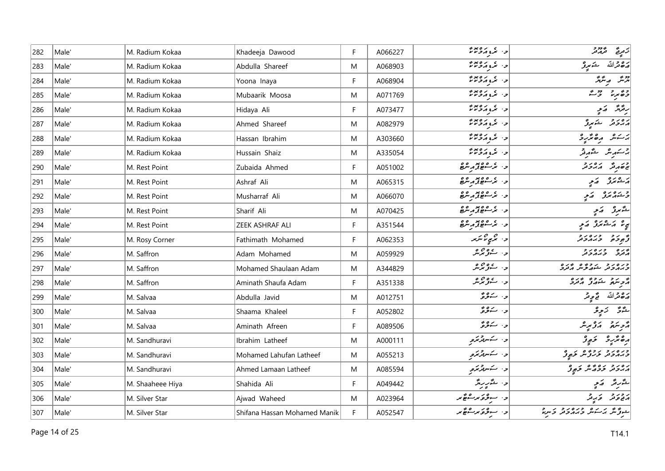| 282 | Male' | M. Radium Kokaa  | Khadeeja Dawood              | F. | A066227 | פי ית צמבעי                                                                                                                                                                                                                      | پر دو و<br>تئرپر تئر<br>  ترموقح                  |
|-----|-------|------------------|------------------------------|----|---------|----------------------------------------------------------------------------------------------------------------------------------------------------------------------------------------------------------------------------------|---------------------------------------------------|
| 283 | Male' | M. Radium Kokaa  | Abdulla Shareef              | M  | A068903 | د . نگروهورم د                                                                                                                                                                                                                   | <mark>برء تر</mark> الله<br>شەمرىژ                |
| 284 | Male' | M. Radium Kokaa  | Yoona Inaya                  | F. | A068904 | <sub>כי י</sub> ת גם גם                                                                                                                                                                                                          | وديم مستر                                         |
| 285 | Male' | M. Radium Kokaa  | Mubaarik Moosa               | M  | A071769 | י יישובט<br>כי יישובט                                                                                                                                                                                                            | و ځمبر ر<br>د ځمبر ر<br>دوية                      |
| 286 | Male' | M. Radium Kokaa  | Hidaya Ali                   | F  | A073477 | בי יציג מביני<br>כי יציג מביניו                                                                                                                                                                                                  | ريژيژ پړې                                         |
| 287 | Male' | M. Radium Kokaa  | Ahmed Shareef                | M  | A082979 | י יישובים ויידי ויידי ויידי ויידי ויידי ויידי ויידי ויידי ויידי ויידי ויידי ויידי ויידי ויידי ויידי ויידי וייד<br>מידי ויידי ויידי ויידי ויידי ויידי ויידי ויידי ויידי ויידי ויידי ויידי ויידי ויידי ויידי ויידי ויידי ויידי ויי | رەرد شەرىر                                        |
| 288 | Male' | M. Radium Kokaa  | Hassan Ibrahim               | M  | A303660 | פי י <i>ב</i> צמבטים<br>כי יבצמבטים                                                                                                                                                                                              | برسكس مرەمخرىر                                    |
| 289 | Male' | M. Radium Kokaa  | Hussain Shaiz                | M  | A335054 | ז ג'ס <i>יצ</i>                                                                                                                                                                                                                  | جرسكمرش كمشهرفر                                   |
| 290 | Male' | M. Rest Point    | Zubaida Ahmed                | F  | A051002 | - بر حويز مرهو                                                                                                                                                                                                                   | حەم قى مەدر                                       |
| 291 | Male' | M. Rest Point    | Ashraf Ali                   | M  | A065315 | - بر حويز مره<br>د بر حويز مرهو                                                                                                                                                                                                  | پرے پری پر پر                                     |
| 292 | Male' | M. Rest Point    | Musharraf Ali                | M  | A066070 |                                                                                                                                                                                                                                  | د دره ره<br>د شهر برو                             |
| 293 | Male' | M. Rest Point    | Sharif Ali                   | M  | A070425 |                                                                                                                                                                                                                                  | المشموق الأمي                                     |
| 294 | Male' | M. Rest Point    | ZEEK ASHRAF ALI              | F  | A351544 |                                                                                                                                                                                                                                  | ى ئەھمىرى ئەير                                    |
| 295 | Male' | M. Rosy Corner   | Fathimath Mohamed            | F  | A062353 | ح ·     ټرېپې نګر ټکر پر                                                                                                                                                                                                         | و د دره دو                                        |
| 296 | Male' | M. Saffron       | Adam Mohamed                 | M  | A059929 | و، سودېږمبر                                                                                                                                                                                                                      | برده وره رو<br>مرتزح وبرمروتر                     |
| 297 | Male' | M. Saffron       | Mohamed Shaulaan Adam        | M  | A344829 | و. سوړيو                                                                                                                                                                                                                         | ورەر د درودە دىرە<br><i>دىدە</i> چىر شەھەرس مەترى |
| 298 | Male' | M. Saffron       | Aminath Shaufa Adam          | F. | A351338 | ى سوم بور<br>مەسوم بورىش                                                                                                                                                                                                         | הכיתם שנגן הנקב                                   |
| 299 | Male' | M. Salvaa        | Abdulla Javid                | M  | A012751 | و، سەۋۇ                                                                                                                                                                                                                          | أصفحترالله قح موقر                                |
| 300 | Male' | M. Salvaa        | Shaama Khaleel               | F. | A052802 | و، سەۋە                                                                                                                                                                                                                          | شەھ زىرو                                          |
| 301 | Male' | M. Salvaa        | Aminath Afreen               | F  | A089506 | و . ستوگ                                                                                                                                                                                                                         | ومحر سنرو<br>-<br>مۇمچە بىر                       |
| 302 | Male' | M. Sandhuravi    | Ibrahim Latheef              | M  | A000111 | و . سکس پر ټرې                                                                                                                                                                                                                   | رەيزىد خور                                        |
| 303 | Male' | M. Sandhuravi    | Mohamed Lahufan Latheef      | M  | A055213 | د . سکس <i>وژنگو</i>                                                                                                                                                                                                             |                                                   |
| 304 | Male' | M. Sandhuravi    | Ahmed Lamaan Latheef         | M  | A085594 | د . سکس <i>پرېژو</i>                                                                                                                                                                                                             | رور و رود و عبور گروگر                            |
| 305 | Male' | M. Shaaheee Hiya | Shahida Ali                  | F  | A049442 | و ، ڪشماريڙ<br>س                                                                                                                                                                                                                 | ڪريگر <sub>مک</sub> رم                            |
| 306 | Male' | M. Silver Star   | Ajwad Waheed                 | M  | A023964 | وسوفو مرضضم                                                                                                                                                                                                                      | رورو كريدو                                        |
| 307 | Male' | M. Silver Star   | Shifana Hassan Mohamed Manik | F. | A052547 | وسيوفو برمقع بر                                                                                                                                                                                                                  |                                                   |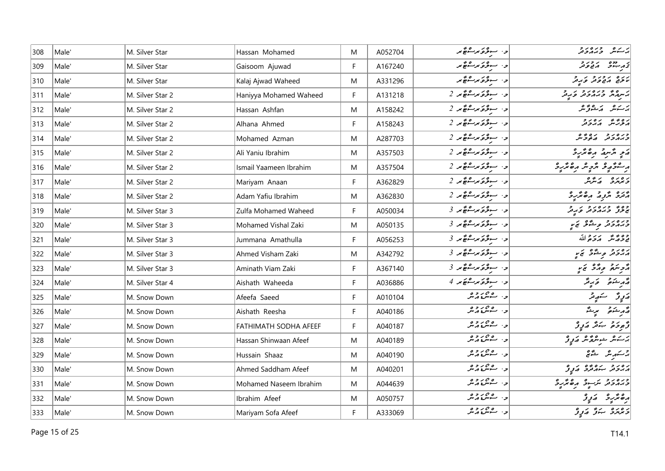| 308 | Male' | M. Silver Star   | Hassan Mohamed         | M           | A052704 | ر. سوۋۇپرسۇ <u>ئ</u> وپر               | يركبش وبره برو                                                                                                                                                                                                                   |
|-----|-------|------------------|------------------------|-------------|---------|----------------------------------------|----------------------------------------------------------------------------------------------------------------------------------------------------------------------------------------------------------------------------------|
| 309 | Male' | M. Silver Star   | Gaisoom Ajuwad         | F           | A167240 | وسيؤثر مرتفقهم                         | ر دوه رور و<br>تحمیل مقام                                                                                                                                                                                                        |
| 310 | Male' | M. Silver Star   | Kalaj Ajwad Waheed     | M           | A331296 | د . سو <i>ؤۇبرسۇم ب</i> ر              | أنابحق أرور والمرامر                                                                                                                                                                                                             |
| 311 | Male' | M. Silver Star 2 | Haniyya Mohamed Waheed | F.          | A131218 | و سوۋىر شۇم بر 2                       | بره و دره د د د و                                                                                                                                                                                                                |
| 312 | Male' | M. Silver Star 2 | Hassan Ashfan          | M           | A158242 | و استوفو مرسوم مر 2                    | برسكس مركوم محر                                                                                                                                                                                                                  |
| 313 | Male' | M. Silver Star 2 | Alhana Ahmed           | F           | A158243 | و سوۋىر شۇم ر                          | رە بەشەر دەر د                                                                                                                                                                                                                   |
| 314 | Male' | M. Silver Star 2 | Mohamed Azman          | M           | A287703 | وسوقو وسقية والا                       | כנסנכ נסשם<br><i>כג</i> וכנ <sub>י ו</sub> בסבית                                                                                                                                                                                 |
| 315 | Male' | M. Silver Star 2 | Ali Yaniu Ibrahim      | M           | A357503 | وسوفوكر مستقيم 2                       | ړې رمه ره تر د                                                                                                                                                                                                                   |
| 316 | Male' | M. Silver Star 2 | Ismail Yaameen Ibrahim | M           | A357504 | و . سەۋە برىشقى 2                      | م <sup>ر</sup> مۇ ئەقرىش مەھەرد                                                                                                                                                                                                  |
| 317 | Male' | M. Silver Star 2 | Mariyam Anaan          | F           | A362829 | $2 \times 2 \times 2$ مرد کال د $\sim$ | رەرە يەشر                                                                                                                                                                                                                        |
| 318 | Male' | M. Silver Star 2 | Adam Yafiu Ibrahim     | M           | A362830 | ە سوۋىر شۇم بر 2                       | ړيده پژوړ ره ټررو                                                                                                                                                                                                                |
| 319 | Male' | M. Silver Star 3 | Zulfa Mohamed Waheed   | F           | A050034 | <mark>و، سوئۇر مەرشۇن</mark> بىر 3     | وه و دره د د د د<br>بحرق و په دونډ کوبړنډ                                                                                                                                                                                        |
| 320 | Male' | M. Silver Star 3 | Mohamed Vishal Zaki    | M           | A050135 | و سوۇرىرىشقىر 3                        | وبرورد ويحكو نم                                                                                                                                                                                                                  |
| 321 | Male' | M. Silver Star 3 | Jummana Amathulla      | $\mathsf F$ | A056253 | والمسوقو وسقية والمحج والمح            | ق محصر محرم الله                                                                                                                                                                                                                 |
| 322 | Male' | M. Silver Star 3 | Ahmed Visham Zaki      | M           | A342792 | و سوگە دىسىۋىر 3                       | پروژو وېڅو تم                                                                                                                                                                                                                    |
| 323 | Male' | M. Silver Star 3 | Aminath Viam Zaki      | F           | A367140 | و٠ سوڤە پرسۇھ پر 3                     | أأوسكم وأأده تمي                                                                                                                                                                                                                 |
| 324 | Male' | M. Silver Star 4 | Aishath Waheeda        | F           | A036886 | وسوءة كالمحتفظ من 4                    | أقهر مشكاة وأراقد                                                                                                                                                                                                                |
| 325 | Male' | M. Snow Down     | Afeefa Saeed           | F           | A010104 | و. ڪشھ دهر                             | ړَرِ ژَ سَهِ پَرُ                                                                                                                                                                                                                |
| 326 | Male' | M. Snow Down     | Aishath Reesha         | F           | A040186 | د. سوچرچوړ                             | و د در د در در در در در در در دارد کردند و در دارد در در دارد در دارد در دارای در دارای در دارای در دارای در د<br>در دارای در دارای در دارای در دارای در دارای در دارای در دارای در دارای دارای دارای در دارای دارای در دارای دا |
| 327 | Male' | M. Snow Down     | FATHIMATH SODHA AFEEF  | F           | A040187 | ى ئەم دەر<br>مەنبۇق ئەنبەر             | ڙوڌو ڄڻ ڀَرِڙ                                                                                                                                                                                                                    |
| 328 | Male' | M. Snow Down     | Hassan Shinwaan Afeef  | M           | A040189 | و. مشتمل ده و                          | ىرىكىش جوشۇش مەردۇ                                                                                                                                                                                                               |
| 329 | Male' | M. Snow Down     | Hussain Shaaz          | M           | A040190 | و. ڪشوروه                              | بر کشمیر شریع شمی                                                                                                                                                                                                                |
| 330 | Male' | M. Snow Down     | Ahmed Saddham Afeef    | M           | A040201 | و. ڪشھ دهر                             | גפגב הפגם בנית                                                                                                                                                                                                                   |
| 331 | Male' | M. Snow Down     | Mohamed Naseem Ibrahim | M           | A044639 | و. ڪشھ دهر                             | ورەرو شەرە مەئزىر                                                                                                                                                                                                                |
| 332 | Male' | M. Snow Down     | Ibrahim Afeef          | M           | A050757 | و. ڪشوروه                              | رەپزىر كۆر                                                                                                                                                                                                                       |
| 333 | Male' | M. Snow Down     | Mariyam Sofa Afeef     | F           | A333069 | و. ڪشوروه                              | ב בחבר הוצ" בציב                                                                                                                                                                                                                 |
|     |       |                  |                        |             |         |                                        |                                                                                                                                                                                                                                  |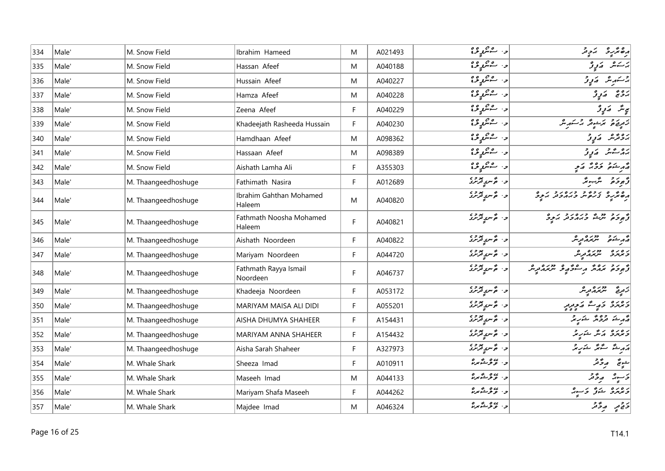| 334 | Male' | M. Snow Field       | Ibrahim Hameed                    | M           | A021493 | <sub>و</sub> . سەش <sub>ۇ</sub> ۋ؟     | גە <i>ג'קיר</i> גבל.<br>ג'                                                                                     |
|-----|-------|---------------------|-----------------------------------|-------------|---------|----------------------------------------|----------------------------------------------------------------------------------------------------------------|
| 335 | Male' | M. Snow Field       | Hassan Afeef                      | M           | A040188 | د. سرمبر وه                            | يزخش كمزوقى                                                                                                    |
| 336 | Male' | M. Snow Field       | Hussain Afeef                     | M           | A040227 | <mark>و. سىشمو ۋە</mark>               | 2 سەر شەر ئەرى                                                                                                 |
| 337 | Male' | M. Snow Field       | Hamza Afeef                       | M           | A040228 | د. ڪشموچ                               | رەپە مەرو                                                                                                      |
| 338 | Male' | M. Snow Field       | Zeena Afeef                       | F           | A040229 | د. سانتمبر وه                          | پې شر مرکز وگ                                                                                                  |
| 339 | Male' | M. Snow Field       | Khadeejath Rasheeda Hussain       | F           | A040230 | $\sqrt{2\sqrt{2}}$                     | ترمرده برجونز بر کرد                                                                                           |
| 340 | Male' | M. Snow Field       | Hamdhaan Afeef                    | M           | A098362 | د. ڪشموع                               | رە يەھەر تەرىخ                                                                                                 |
| 341 | Male' | M. Snow Field       | Hassaan Afeef                     | M           | A098389 | د. ڪشموچو                              | رە مەتەر كەرد                                                                                                  |
| 342 | Male' | M. Snow Field       | Aishath Lamha Ali                 | $\mathsf F$ | A355303 | <mark>و، سىش<sub>ۇ</sub> ۋە</mark>     | وأرشني ترور وأبي                                                                                               |
| 343 | Male' | M. Thaangeedhoshuge | Fathimath Nasira                  | F           | A012689 | و <sub>`</sub> مۇس <sub>كو</sub> ترىرى | و دو شهر                                                                                                       |
| 344 | Male' | M. Thaangeedhoshuge | Ibrahim Gahthan Mohamed<br>Haleem | M           | A040820 | و · قُرْسر پورې                        |                                                                                                                |
| 345 | Male' | M. Thaangeedhoshuge | Fathmath Noosha Mohamed<br>Haleem | F           | A040821 | و ، ځه سمونسرو ،                       | و د د د وره د و زور                                                                                            |
| 346 | Male' | M. Thaangeedhoshuge | Aishath Noordeen                  | E           | A040822 | و ، ځه سمه مورو ،                      | م مشور موجده مره                                                                                               |
| 347 | Male' | M. Thaangeedhoshuge | Mariyam Noordeen                  | F           | A044720 | و به څو سمونه تر پرو                   | ק פקס - דרקס הפרי<br>פיזנואבר - יינואני מנוער                                                                  |
| 348 | Male' | M. Thaangeedhoshuge | Fathmath Rayya Ismail<br>Noordeen | F           | A046737 | و به څو سمپوتر سره                     | و د د ده و موه و دوره و د                                                                                      |
| 349 | Male' | M. Thaangeedhoshuge | Khadeeja Noordeen                 | $\mathsf F$ | A053172 | و <sub>`</sub> مۇس <sub>كو</sub> ترىرى | تزمريح مرجره وبرهر                                                                                             |
| 350 | Male' | M. Thaangeedhoshuge | <b>MARIYAM MAISA ALI DIDI</b>     | F           | A055201 |                                        | د ورو در ۳ کوبربر                                                                                              |
| 351 | Male' | M. Thaangeedhoshuge | AISHA DHUMYA SHAHEER              | F           | A154431 | و <sub>`</sub> مۇس <sub>كو</sub> ترىرى | أو المراجع المحمد المحمد المحمد المحمد المحمد المحمد المحمد المحمد المحمد المحمد المحمد المحمد المحمد المحمد ا |
| 352 | Male' | M. Thaangeedhoshuge | MARIYAM ANNA SHAHEER              | F           | A154432 | و · هُ سر <sub>ک</sub> قرمری           | دەرە رە ئەر                                                                                                    |
| 353 | Male' | M. Thaangeedhoshuge | Aisha Sarah Shaheer               | F           | A327973 | و · هُ سر <sub>ک</sub> قرمری           | أمرمث ستمر خورير                                                                                               |
| 354 | Male' | M. Whale Shark      | Sheeza Imad                       | F           | A010911 | و ، ٷۉ؎ٞؠره                            | شوځ ورځنر                                                                                                      |
| 355 | Male' | M. Whale Shark      | Maseeh Imad                       | M           | A044133 | و ، ٷۇشۇپرى                            | كەسەر مەۋىر                                                                                                    |
| 356 | Male' | M. Whale Shark      | Mariyam Shafa Maseeh              | F           | A044262 | و ، ٷۉ؎ٞؠڕء                            | أوجهرو شرق وسير                                                                                                |
| 357 | Male' | M. Whale Shark      | Majdee Imad                       | ${\sf M}$   | A046324 | و ، ٷۉ؎ٞؠڕء                            | د ق پر قر                                                                                                      |
|     |       |                     |                                   |             |         |                                        |                                                                                                                |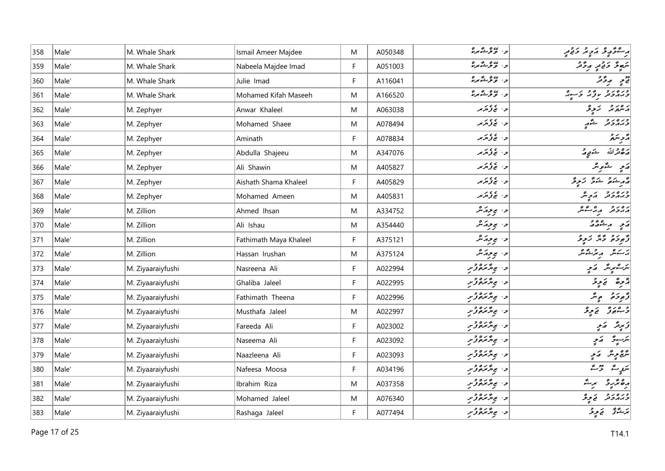| 358 | Male' | M. Whale Shark    | Ismail Ameer Majdee    | M | A050348 | <sub>و</sub> . ٷۉ؎ٞؠڕ <i>؇</i>              | ور شۇر قۇمۇر ئەقرىمىيە                                            |
|-----|-------|-------------------|------------------------|---|---------|---------------------------------------------|-------------------------------------------------------------------|
| 359 | Male' | M. Whale Shark    | Nabeela Majdee Imad    | F | A051003 | و ، گۇرشگەر 2                               |                                                                   |
| 360 | Male' | M. Whale Shark    | Julie Imad             | F | A116041 | و به عوشهره                                 | دد روتر<br>ای و روتر                                              |
| 361 | Male' | M. Whale Shark    | Mohamed Kifah Maseeh   | M | A166520 | و ، ٷۉ؎ٞؠڕ٥                                 | ورەرو رۇچ كەر                                                     |
| 362 | Male' | M. Zephyer        | Anwar Khaleel          | M | A063038 | والممخ والأمر                               | أرمعت تزوى                                                        |
| 363 | Male' | M. Zephyer        | Mohamed Shaee          | M | A078494 | وسيمخ وكرمر                                 | ورەرو شەر                                                         |
| 364 | Male' | M. Zephyer        | Aminath                | F | A078834 | وسيمح وترمر                                 | أثر حر سنرو                                                       |
| 365 | Male' | M. Zephyer        | Abdulla Shajeeu        | M | A347076 | والممخ والأمر                               | پرځغرالله شکو <i>مړ م</i>                                         |
| 366 | Male' | M. Zephyer        | Ali Shawin             | M | A405827 | وسيمح وترمو                                 | ړنو څوند                                                          |
| 367 | Male' | M. Zephyer        | Aishath Shama Khaleel  | F | A405829 | والممح وترمر                                | ە ئەستەم سەۋا ئاموق                                               |
| 368 | Male' | M. Zephyer        | Mohamed Ameen          | M | A405831 | ے ہے ۔<br>ح• سے تح <sup>مد</sup> بھ         | בנסנב גבית                                                        |
| 369 | Male' | M. Zillion        | Ahmed Ihsan            | M | A334752 | اه به موړ نګر<br>د سربر                     | رەرد رومۇر                                                        |
| 370 | Male' | M. Zillion        | Ali Ishau              | M | A354440 | د· ب <sub>ح</sub> رم شر                     | $\begin{matrix} 2 & 2 & 0 \\ 2 & 3 & 0 \\ 0 & 0 & 0 \end{matrix}$ |
| 371 | Male' | M. Zillion        | Fathimath Maya Khaleel | F | A375121 | د· ب <sub>ح</sub> رم شر                     | أؤوده والارتج                                                     |
| 372 | Male' | M. Zillion        | Hassan Irushan         | M | A375124 | د· ب <sub>ح</sub> رم شر                     | ئەسەمىر ب <sub>ىر م</sub> رتشەمىر                                 |
| 373 | Male' | M. Ziyaaraiyfushi | Nasreena Ali           | F | A022994 | د·   برمرگره و تر                           | برعبيش كمي                                                        |
| 374 | Male' | M. Ziyaaraiyfushi | Ghaliba Jaleel         | F | A022995 | <sub>د : م</sub> ورگره د نر                 | أزًوةً كَاوِدْ                                                    |
| 375 | Male' | M. Ziyaaraiyfushi | Fathimath Theena       | F | A022996 | <br> و <sub>: ن</sub> م پژېره و مړ          | قهوزة ويتر                                                        |
| 376 | Male' | M. Ziyaaraiyfushi | Musthafa Jaleel        | M | A022997 | <sub>چ'</sub> ہو تھ تھوڑ سر                 | وصبورة كالمحيض                                                    |
| 377 | Male' | M. Ziyaaraiyfushi | Fareeda Ali            | F | A023002 | <sub>ج∙ م</sub> ی مرتمره و سر               | تزيينژ اړمن                                                       |
| 378 | Male' | M. Ziyaaraiyfushi | Naseema Ali            | F | A023092 | <sub>ح</sub> . ب <sub>ې</sub> رترچونو پر    | لترجوش الأمج                                                      |
| 379 | Male' | M. Ziyaaraiyfushi | Naazleena Ali          | F | A023093 | <sub>ج∙ م</sub> ې پر تمر <sub>م</sub> و ژىر | شچ یپش کری                                                        |
| 380 | Male' | M. Ziyaaraiyfushi | Nafeesa Moosa          | F | A034196 | د·   برمرگره و تر                           | يترو شدّ محر شدّ                                                  |
| 381 | Male' | M. Ziyaaraiyfushi | Ibrahim Riza           | M | A037358 | د· ب <sub>ی</sub> مرتمره و سر               | رەپر پوت                                                          |
| 382 | Male' | M. Ziyaaraiyfushi | Mohamed Jaleel         | M | A076340 | د· ب <sub>ې</sub> رتر مور مړ                |                                                                   |
| 383 | Male' | M. Ziyaaraiyfushi | Rashaga Jaleel         | F | A077494 | و به پرووونر                                | يَرْ شَرَّ تَنْ مِرْ تَرْ وَ وَ                                   |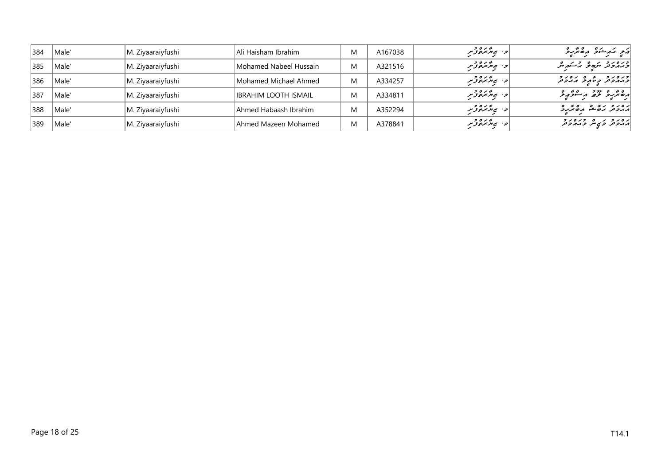| 384 | Male' | M. Ziyaaraiyfushi | Ali Haisham Ibrahim    | M | A167038 | و · می تر تر ه و مر                                            | أيز بر بر شوش مره مربر و                             |
|-----|-------|-------------------|------------------------|---|---------|----------------------------------------------------------------|------------------------------------------------------|
| 385 | Male' | M. Ziyaaraiyfushi | Mohamed Nabeel Hussain | M | A321516 | و · می در جه و س                                               | وره د د سهه و برگتهه ش                               |
| 386 | Male' | M. Ziyaaraiyfushi | Mohamed Michael Ahmed  | M | A334257 | و · می تر تر ه و مر                                            | وره رو مشهده مدرور<br>  وبرارونر و نا رفس از برار تر |
| 387 | Male' | M. Ziyaaraiyfushi | IIBRAHIM LOOTH ISMAIL  | M | A334811 | و · می در جه و مر                                              | رەنگرىق دوم بەستۇم بى                                |
| 388 | Male' | M. Ziyaaraiyfushi | Ahmed Habaash Ibrahim  | M | A352294 | و · می در جه و مر                                              | ره روبر ده ده می ده کرد                              |
| 389 | Male' | M. Ziyaaraiyfushi | Ahmed Mazeen Mohamed   | M | A378841 | و . <sub>می ا</sub> ثر بره و در<br>و . می اثر <i>مزده و</i> در | ן פיני קיים וכנסיקים<br>המכנת כאית כמחכנת            |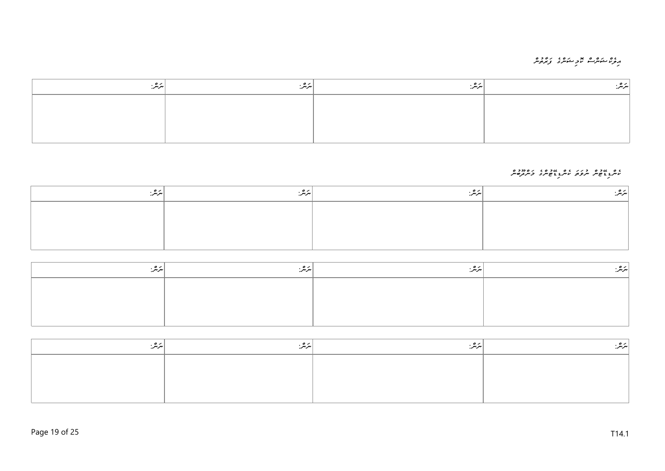## *w7qAn8m? sCw7mRo>u; wEw7mRw;sBo<*

| ' مرمر | 'يئرىثر: |
|--------|----------|
|        |          |
|        |          |
|        |          |

## *w7q9r@w7m> sCw7qHtFoFw7s; mAm=q7 w7qHtFoFw7s;*

| يئرمىش: | $^{\circ}$<br>. سر سر<br>$\cdot$ | $\circ$ $\sim$<br>-- | يئرمثر |
|---------|----------------------------------|----------------------|--------|
|         |                                  |                      |        |
|         |                                  |                      |        |
|         |                                  |                      |        |

| انترنثر: | $^{\circ}$ | يبرهر | $^{\circ}$<br>سرسر |
|----------|------------|-------|--------------------|
|          |            |       |                    |
|          |            |       |                    |
|          |            |       |                    |

| ىرتىر: | 。<br>سر سر | .,<br>مرسر |
|--------|------------|------------|
|        |            |            |
|        |            |            |
|        |            |            |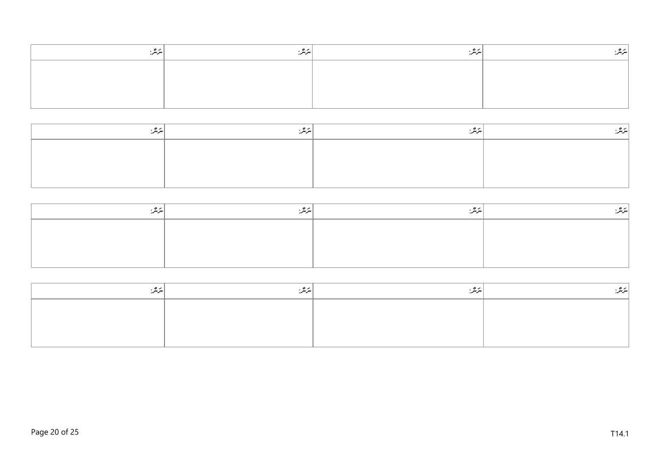| يره. | ο. | ا ير ه |  |
|------|----|--------|--|
|      |    |        |  |
|      |    |        |  |
|      |    |        |  |

| <sup>.</sup> سرسر. |  |
|--------------------|--|
|                    |  |
|                    |  |
|                    |  |

| ىئرىتر. | $\sim$ | ا بر هه. | لىرىش |
|---------|--------|----------|-------|
|         |        |          |       |
|         |        |          |       |
|         |        |          |       |

| $\overline{\phantom{a}}$<br>سرس. | ر ه<br>,,, | . . | 。<br>سرس. |
|----------------------------------|------------|-----|-----------|
|                                  |            |     |           |
|                                  |            |     |           |
|                                  |            |     |           |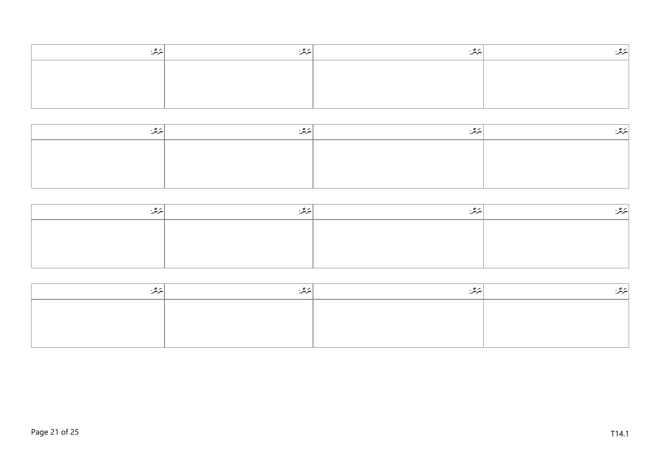| ير هو . | $\overline{\phantom{a}}$ | يرمر | اير هنه. |
|---------|--------------------------|------|----------|
|         |                          |      |          |
|         |                          |      |          |
|         |                          |      |          |

| ىر ھ | $\circ$ $\sim$<br>ا سرسر. | $\circ$ $\sim$<br>' سرسر . | o <i>~</i><br>سرسر. |
|------|---------------------------|----------------------------|---------------------|
|      |                           |                            |                     |
|      |                           |                            |                     |
|      |                           |                            |                     |

| 'تترنثر: | . .<br>يسمونس. |  |
|----------|----------------|--|
|          |                |  |
|          |                |  |
|          |                |  |

|  | . ه |
|--|-----|
|  |     |
|  |     |
|  |     |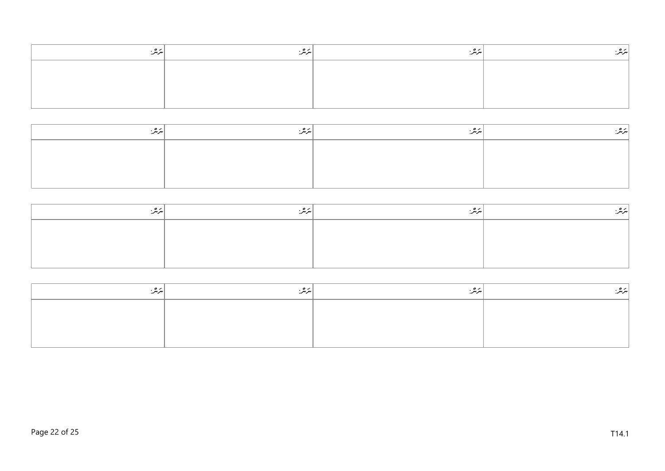| ير هو . | $\overline{\phantom{a}}$ | يرمر | اير هنه. |
|---------|--------------------------|------|----------|
|         |                          |      |          |
|         |                          |      |          |
|         |                          |      |          |

| ئىرتىر: | $\sim$<br>ا سرسر . | يئرمثر | o . |
|---------|--------------------|--------|-----|
|         |                    |        |     |
|         |                    |        |     |
|         |                    |        |     |

| 'تترنثر: | 。<br>,,,, |  |
|----------|-----------|--|
|          |           |  |
|          |           |  |
|          |           |  |

| 。 |  |  |
|---|--|--|
|   |  |  |
|   |  |  |
|   |  |  |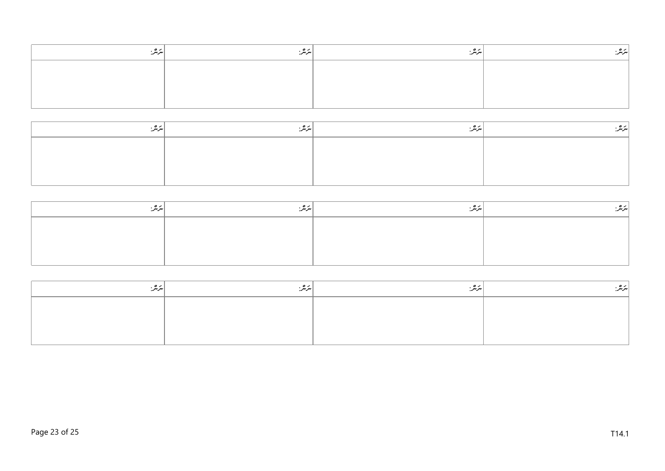| $\cdot$ | 。 | $\frac{\circ}{\cdot}$ | $\sim$<br>سرسر |
|---------|---|-----------------------|----------------|
|         |   |                       |                |
|         |   |                       |                |
|         |   |                       |                |

| يريثن | ' سرسر . |  |
|-------|----------|--|
|       |          |  |
|       |          |  |
|       |          |  |

| بر ه | . ه | $\sim$<br>سرسر |  |
|------|-----|----------------|--|
|      |     |                |  |
|      |     |                |  |
|      |     |                |  |

| 。<br>. س | ىرىىر |  |
|----------|-------|--|
|          |       |  |
|          |       |  |
|          |       |  |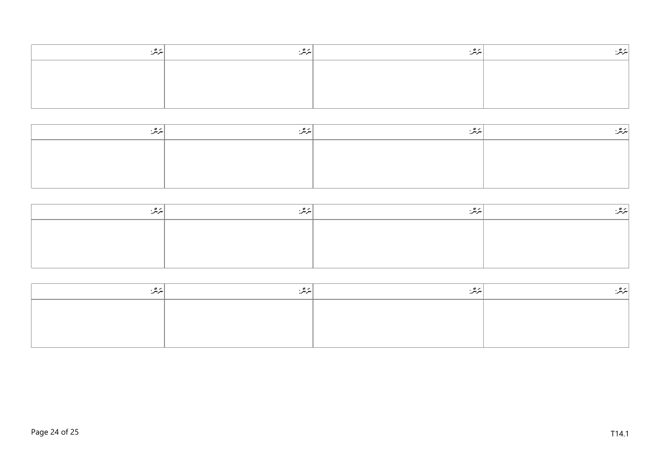| ير هو . | $\overline{\phantom{a}}$ | يرمر | اير هنه. |
|---------|--------------------------|------|----------|
|         |                          |      |          |
|         |                          |      |          |
|         |                          |      |          |

| ئىرتىر: | $\sim$<br>ا سرسر . | يئرمثر | o . |
|---------|--------------------|--------|-----|
|         |                    |        |     |
|         |                    |        |     |
|         |                    |        |     |

| انترنثر: | ر ه |  |
|----------|-----|--|
|          |     |  |
|          |     |  |
|          |     |  |

|  | . ه |
|--|-----|
|  |     |
|  |     |
|  |     |